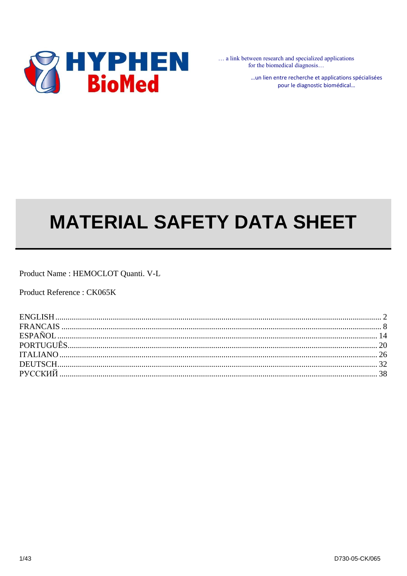

... a link between research and specialized applications for the biomedical diagnosis...

> ... un lien entre recherche et applications spécialisées pour le diagnostic biomédical...

# **MATERIAL SAFETY DATA SHEET**

Product Name: HEMOCLOT Quanti. V-L

Product Reference: CK065K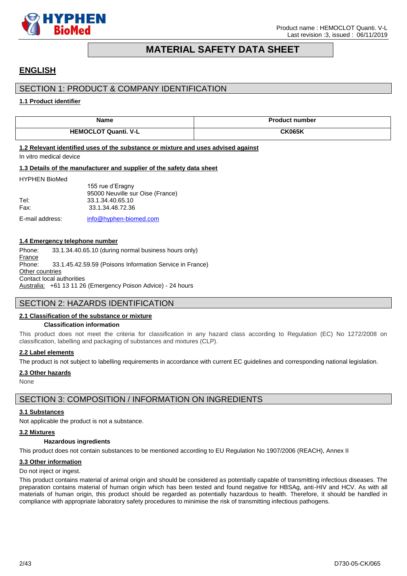

# **MATERIAL SAFETY DATA SHEET**

# <span id="page-1-0"></span>**ENGLISH**

### SECTION 1: PRODUCT & COMPANY IDENTIFICATION

#### **1.1 Product identifier**

| Name                                                                                                         | <b>Product number</b> |
|--------------------------------------------------------------------------------------------------------------|-----------------------|
| <b>HEMOCLOT Quanti, V-L</b>                                                                                  | <b>CK065K</b>         |
| 1.2 Relevant identified uses of the substance or mixture and uses advised against<br>In vitro medical device |                       |

#### **1.3 Details of the manufacturer and supplier of the safety data sheet**

#### HYPHEN BioMed

155 rue d'Eragny 95000 Neuville sur Oise (France) Tel: 33.1.34.40.65.10 Fax: 33.1.34.48.72.36

E-mail address: [info@hyphen-biomed.com](mailto:info@hyphen-biomed.com)

#### **1.4 Emergency telephone number**

Phone: 33.1.34.40.65.10 (during normal business hours only) France Phone: 33.1.45.42.59.59 (Poisons Information Service in France) **Other countries** Contact local authorities Australia: +61 13 11 26 (Emergency Poison Advice) - 24 hours

### SECTION 2: HAZARDS IDENTIFICATION

#### **2.1 Classification of the substance or mixture**

#### **Classification information**

This product does not meet the criteria for classification in any hazard class according to Regulation (EC) No 1272/2008 on classification, labelling and packaging of substances and mixtures (CLP).

#### **2.2 Label elements**

The product is not subject to labelling requirements in accordance with current EC guidelines and corresponding national legislation.

#### **2.3 Other hazards**

None

### SECTION 3: COMPOSITION / INFORMATION ON INGREDIENTS

#### **3.1 Substances**

Not applicable the product is not a substance.

#### **3.2 Mixtures**

#### **Hazardous ingredients**

This product does not contain substances to be mentioned according to EU Regulation No 1907/2006 (REACH), Annex II

#### **3.3 Other information**

Do not inject or ingest.

This product contains material of animal origin and should be considered as potentially capable of transmitting infectious diseases. The preparation contains material of human origin which has been tested and found negative for HBSAg, anti-HIV and HCV. As with all materials of human origin, this product should be regarded as potentially hazardous to health. Therefore, it should be handled in compliance with appropriate laboratory safety procedures to minimise the risk of transmitting infectious pathogens.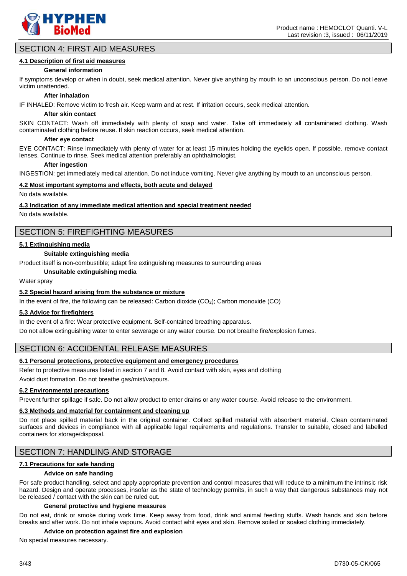

### SECTION 4: FIRST AID MEASURES

#### **4.1 Description of first aid measures**

#### **General information**

If symptoms develop or when in doubt, seek medical attention. Never give anything by mouth to an unconscious person. Do not leave victim unattended.

#### **After inhalation**

IF INHALED: Remove victim to fresh air. Keep warm and at rest. If irritation occurs, seek medical attention.

#### **After skin contact**

SKIN CONTACT: Wash off immediately with plenty of soap and water. Take off immediately all contaminated clothing. Wash contaminated clothing before reuse. If skin reaction occurs, seek medical attention.

#### **After eye contact**

EYE CONTACT: Rinse immediately with plenty of water for at least 15 minutes holding the eyelids open. If possible. remove contact lenses. Continue to rinse. Seek medical attention preferably an ophthalmologist.

#### **After ingestion**

INGESTION: get immediately medical attention. Do not induce vomiting. Never give anything by mouth to an unconscious person.

#### **4.2 Most important symptoms and effects, both acute and delayed**

No data available.

#### **4.3 Indication of any immediate medical attention and special treatment needed**

No data available.

### SECTION 5: FIREFIGHTING MEASURES

#### **5.1 Extinguishing media**

#### **Suitable extinguishing media**

Product itself is non-combustible; adapt fire extinguishing measures to surrounding areas

**Unsuitable extinguishing media**

Water spray

#### **5.2 Special hazard arising from the substance or mixture**

In the event of fire, the following can be released: Carbon dioxide (CO<sub>2</sub>); Carbon monoxide (CO)

#### **5.3 Advice for firefighters**

In the event of a fire: Wear protective equipment. Self-contained breathing apparatus.

Do not allow extinguishing water to enter sewerage or any water course. Do not breathe fire/explosion fumes.

### SECTION 6: ACCIDENTAL RELEASE MEASURES

#### **6.1 Personal protections, protective equipment and emergency procedures**

Refer to protective measures listed in section 7 and 8. Avoid contact with skin, eyes and clothing

Avoid dust formation. Do not breathe gas/mist/vapours.

#### **6.2 Environmental precautions**

Prevent further spillage if safe. Do not allow product to enter drains or any water course. Avoid release to the environment.

#### **6.3 Methods and material for containment and cleaning up**

Do not place spilled material back in the original container. Collect spilled material with absorbent material. Clean contaminated surfaces and devices in compliance with all applicable legal requirements and regulations. Transfer to suitable, closed and labelled containers for storage/disposal.

### SECTION 7: HANDLING AND STORAGE

#### **7.1 Precautions for safe handing**

#### **Advice on safe handing**

For safe product handling, select and apply appropriate prevention and control measures that will reduce to a minimum the intrinsic risk hazard. Design and operate processes, insofar as the state of technology permits, in such a way that dangerous substances may not be released / contact with the skin can be ruled out.

#### **General protective and hygiene measures**

Do not eat, drink or smoke during work time. Keep away from food, drink and animal feeding stuffs. Wash hands and skin before breaks and after work. Do not inhale vapours. Avoid contact whit eyes and skin. Remove soiled or soaked clothing immediately.

#### **Advice on protection against fire and explosion**

No special measures necessary.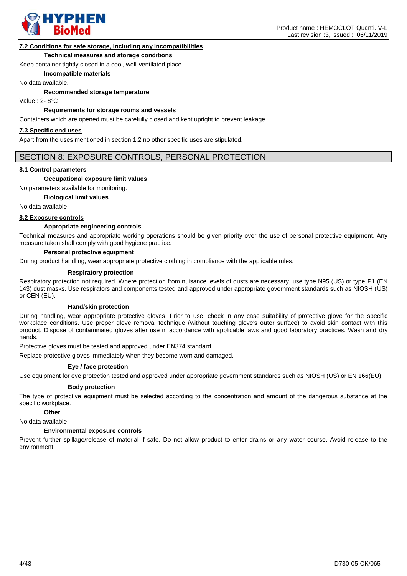

#### **7.2 Conditions for safe storage, including any incompatibilities**

#### **Technical measures and storage conditions**

Keep container tightly closed in a cool, well-ventilated place.

#### **Incompatible materials**

No data available.

**Recommended storage temperature**

Value : 2- 8°C

#### **Requirements for storage rooms and vessels**

Containers which are opened must be carefully closed and kept upright to prevent leakage.

#### **7.3 Specific end uses**

Apart from the uses mentioned in section 1.2 no other specific uses are stipulated.

### SECTION 8: EXPOSURE CONTROLS, PERSONAL PROTECTION

#### **8.1 Control parameters**

#### **Occupational exposure limit values**

No parameters available for monitoring.

#### **Biological limit values**

No data available

#### **8.2 Exposure controls**

#### **Appropriate engineering controls**

Technical measures and appropriate working operations should be given priority over the use of personal protective equipment. Any measure taken shall comply with good hygiene practice.

#### **Personal protective equipment**

During product handling, wear appropriate protective clothing in compliance with the applicable rules.

#### **Respiratory protection**

Respiratory protection not required. Where protection from nuisance levels of dusts are necessary, use type N95 (US) or type P1 (EN 143) dust masks. Use respirators and components tested and approved under appropriate government standards such as NIOSH (US) or CEN (EU).

#### **Hand/skin protection**

During handling, wear appropriate protective gloves. Prior to use, check in any case suitability of protective glove for the specific workplace conditions. Use proper glove removal technique (without touching glove's outer surface) to avoid skin contact with this product. Dispose of contaminated gloves after use in accordance with applicable laws and good laboratory practices. Wash and dry hands.

Protective gloves must be tested and approved under EN374 standard.

Replace protective gloves immediately when they become worn and damaged.

#### **Eye / face protection**

Use equipment for eye protection tested and approved under appropriate government standards such as NIOSH (US) or EN 166(EU).

#### **Body protection**

The type of protective equipment must be selected according to the concentration and amount of the dangerous substance at the specific workplace.

#### **Other**

No data available

#### **Environmental exposure controls**

Prevent further spillage/release of material if safe. Do not allow product to enter drains or any water course. Avoid release to the environment.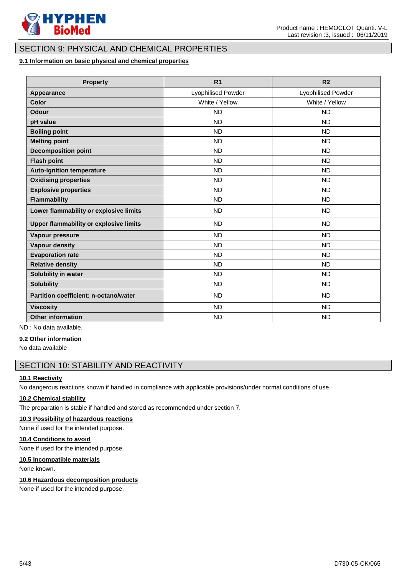

### SECTION 9: PHYSICAL AND CHEMICAL PROPERTIES

#### **9.1 Information on basic physical and chemical properties**

| <b>Property</b>                               | R <sub>1</sub>     | R <sub>2</sub>     |
|-----------------------------------------------|--------------------|--------------------|
| <b>Appearance</b>                             | Lyophilised Powder | Lyophilised Powder |
| Color                                         | White / Yellow     | White / Yellow     |
| <b>Odour</b>                                  | <b>ND</b>          | <b>ND</b>          |
| pH value                                      | <b>ND</b>          | <b>ND</b>          |
| <b>Boiling point</b>                          | <b>ND</b>          | <b>ND</b>          |
| <b>Melting point</b>                          | <b>ND</b>          | <b>ND</b>          |
| <b>Decomposition point</b>                    | <b>ND</b>          | <b>ND</b>          |
| <b>Flash point</b>                            | <b>ND</b>          | <b>ND</b>          |
| <b>Auto-ignition temperature</b>              | <b>ND</b>          | <b>ND</b>          |
| <b>Oxidising properties</b>                   | <b>ND</b>          | <b>ND</b>          |
| <b>Explosive properties</b>                   | <b>ND</b>          | <b>ND</b>          |
| Flammability                                  | <b>ND</b>          | <b>ND</b>          |
| Lower flammability or explosive limits        | <b>ND</b>          | <b>ND</b>          |
| <b>Upper flammability or explosive limits</b> | <b>ND</b>          | <b>ND</b>          |
| Vapour pressure                               | <b>ND</b>          | <b>ND</b>          |
| <b>Vapour density</b>                         | <b>ND</b>          | <b>ND</b>          |
| <b>Evaporation rate</b>                       | <b>ND</b>          | <b>ND</b>          |
| <b>Relative density</b>                       | <b>ND</b>          | <b>ND</b>          |
| Solubility in water                           | <b>ND</b>          | <b>ND</b>          |
| <b>Solubility</b>                             | <b>ND</b>          | <b>ND</b>          |
| Partition coefficient: n-octano/water         | <b>ND</b>          | <b>ND</b>          |
| <b>Viscosity</b>                              | <b>ND</b>          | <b>ND</b>          |
| <b>Other information</b>                      | <b>ND</b>          | <b>ND</b>          |

ND : No data available.

#### **9.2 Other information**

No data available

### SECTION 10: STABILITY AND REACTIVITY

#### **10.1 Reactivity**

No dangerous reactions known if handled in compliance with applicable provisions/under normal conditions of use.

#### **10.2 Chemical stability**

The preparation is stable if handled and stored as recommended under section 7.

#### **10.3 Possibility of hazardous reactions**

None if used for the intended purpose.

### **10.4 Conditions to avoid**

None if used for the intended purpose.

#### **10.5 Incompatible materials**

None known.

#### **10.6 Hazardous decomposition products**

None if used for the intended purpose.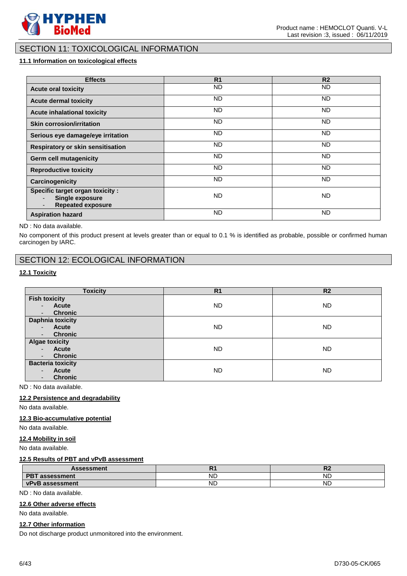

### SECTION 11: TOXICOLOGICAL INFORMATION

### **11.1 Information on toxicological effects**

| <b>Effects</b>                                                                  | R <sub>1</sub> | R <sub>2</sub> |
|---------------------------------------------------------------------------------|----------------|----------------|
| <b>Acute oral toxicity</b>                                                      | <b>ND</b>      | ND.            |
| <b>Acute dermal toxicity</b>                                                    | ND.            | ND.            |
| <b>Acute inhalational toxicity</b>                                              | <b>ND</b>      | ND.            |
| <b>Skin corrosion/irritation</b>                                                | <b>ND</b>      | ND.            |
| Serious eye damage/eye irritation                                               | ND.            | ND.            |
| Respiratory or skin sensitisation                                               | ND.            | ND.            |
| <b>Germ cell mutagenicity</b>                                                   | ND.            | ND.            |
| <b>Reproductive toxicity</b>                                                    | ND.            | ND.            |
| Carcinogenicity                                                                 | ND.            | ND.            |
| Specific target organ toxicity :<br>Single exposure<br><b>Repeated exposure</b> | <b>ND</b>      | ND.            |
| <b>Aspiration hazard</b>                                                        | <b>ND</b>      | <b>ND</b>      |

ND : No data available.

No component of this product present at levels greater than or equal to 0.1 % is identified as probable, possible or confirmed human carcinogen by IARC.

### SECTION 12: ECOLOGICAL INFORMATION

### **12.1 Toxicity**

| <b>Toxicity</b>                                                                                                      | R <sub>1</sub> | R <sub>2</sub> |
|----------------------------------------------------------------------------------------------------------------------|----------------|----------------|
| <b>Fish toxicity</b><br><b>Acute</b><br>$\sim$<br><b>Chronic</b>                                                     | ND             | ND.            |
| $\overline{\phantom{a}}$<br><b>Daphnia toxicity</b><br>Acute<br>$\sim$<br><b>Chronic</b><br>$\overline{\phantom{a}}$ | <b>ND</b>      | ND.            |
| <b>Algae toxicity</b><br>Acute<br>$\sim$<br><b>Chronic</b><br>$\sim$                                                 | <b>ND</b>      | <b>ND</b>      |
| <b>Bacteria toxicity</b><br>Acute<br>$\blacksquare$<br><b>Chronic</b>                                                | <b>ND</b>      | ND.            |

ND : No data available.

#### **12.2 Persistence and degradability**

No data available.

#### **12.3 Bio-accumulative potential**

No data available.

#### **12.4 Mobility in soil**

No data available.

#### **12.5 Results of PBT and vPvB assessment**

| <b>Assessment</b>                  | .         | в.<br>w   |
|------------------------------------|-----------|-----------|
| <b>DDT</b><br>assessment<br>-6     | <b>NL</b> | <b>ND</b> |
| <b>vPvB</b><br><b>› assessment</b> | ND.       | ND        |

ND : No data available.

#### **12.6 Other adverse effects**

No data available.

#### **12.7 Other information**

Do not discharge product unmonitored into the environment.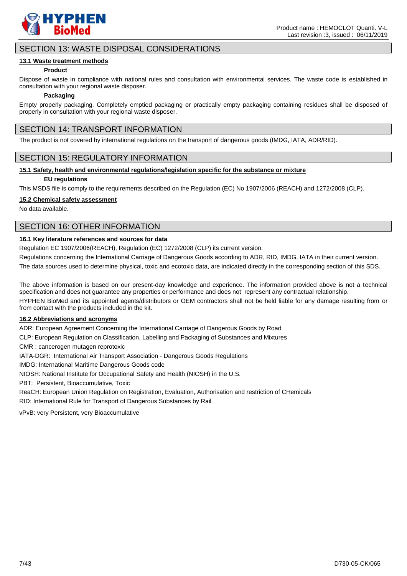

### SECTION 13: WASTE DISPOSAL CONSIDERATIONS

#### **13.1 Waste treatment methods**

#### **Product**

Dispose of waste in compliance with national rules and consultation with environmental services. The waste code is established in consultation with your regional waste disposer.

#### **Packaging**

Empty properly packaging. Completely emptied packaging or practically empty packaging containing residues shall be disposed of properly in consultation with your regional waste disposer.

### SECTION 14: TRANSPORT INFORMATION

The product is not covered by international regulations on the transport of dangerous goods (IMDG, IATA, ADR/RID).

### SECTION 15: REGULATORY INFORMATION

#### **15.1 Safety, health and environmental regulations/legislation specific for the substance or mixture**

#### **EU regulations**

This MSDS file is comply to the requirements described on the Regulation (EC) No 1907/2006 (REACH) and 1272/2008 (CLP).

#### **15.2 Chemical safety assessment**

No data available.

### SECTION 16: OTHER INFORMATION

#### **16.1 Key literature references and sources for data**

Regulation EC 1907/2006(REACH), Regulation (EC) 1272/2008 (CLP) its current version.

Regulations concerning the International Carriage of Dangerous Goods according to ADR, RID, IMDG, IATA in their current version.

The data sources used to determine physical, toxic and ecotoxic data, are indicated directly in the corresponding section of this SDS.

The above information is based on our present-day knowledge and experience. The information provided above is not a technical specification and does not guarantee any properties or performance and does not represent any contractual relationship.

HYPHEN BioMed and its appointed agents/distributors or OEM contractors shall not be held liable for any damage resulting from or from contact with the products included in the kit.

#### **16.2 Abbreviations and acronyms**

ADR: European Agreement Concerning the International Carriage of Dangerous Goods by Road

CLP: European Regulation on Classification, Labelling and Packaging of Substances and Mixtures

CMR : cancerogen mutagen reprotoxic

IATA-DGR: International Air Transport Association - Dangerous Goods Regulations

IMDG: International Maritime Dangerous Goods code

NIOSH: National Institute for Occupational Safety and Health (NIOSH) in the U.S.

PBT: Persistent, Bioaccumulative, Toxic

ReaCH: European Union Regulation on Registration, Evaluation, Authorisation and restriction of CHemicals RID: International Rule for Transport of Dangerous Substances by Rail

vPvB: very Persistent, very Bioaccumulative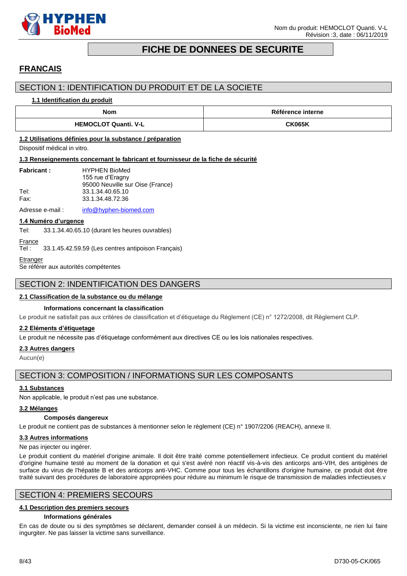

# **FICHE DE DONNEES DE SECURITE**

# <span id="page-7-0"></span>**FRANCAIS**

### SECTION 1: IDENTIFICATION DU PRODUIT ET DE LA SOCIETE

#### **1.1 Identification du produit**

| Nom                         | Référence interne |  |
|-----------------------------|-------------------|--|
| <b>HEMOCLOT Quanti, V-L</b> | <b>CK065K</b>     |  |

#### **1.2 Utilisations définies pour la substance / préparation**

Dispositif médical in vitro.

#### **1.3 Renseignements concernant le fabricant et fournisseur de la fiche de sécurité**

| <b>Fabricant:</b> | <b>HYPHEN BioMed</b>             |
|-------------------|----------------------------------|
|                   | 155 rue d'Eragny                 |
|                   | 95000 Neuville sur Oise (France) |
| Tel:              | 33.1.34.40.65.10                 |
| Fax:              | 33.1.34.48.72.36                 |
|                   |                                  |

Adresse e-mail : [info@hyphen-biomed.com](mailto:info@hyphen-biomed.com)

#### **1.4 Numéro d'urgence**

Tel: 33.1.34.40.65.10 (durant les heures ouvrables)

# **France**

Tel : 33.1.45.42.59.59 (Les centres antipoison Français)

#### **Etranger**

Se référer aux autorités compétentes

### SECTION 2: INDENTIFICATION DES DANGERS

#### **2.1 Classification de la substance ou du mélange**

#### **Informations concernant la classification**

Le produit ne satisfait pas aux critères de classification et d'étiquetage du Règlement (CE) n° 1272/2008, dit Règlement CLP.

#### **2.2 Eléments d'étiquetage**

Le produit ne nécessite pas d'étiquetage conformément aux directives CE ou les lois nationales respectives.

#### **2.3 Autres dangers**

Aucun(e)

### SECTION 3: COMPOSITION / INFORMATIONS SUR LES COMPOSANTS

#### **3.1 Substances**

Non applicable, le produit n'est pas une substance.

#### **3.2 Mélanges**

#### **Composés dangereux**

Le produit ne contient pas de substances à mentionner selon le règlement (CE) n° 1907/2206 (REACH), annexe II.

#### **3.3 Autres informations**

Ne pas injecter ou ingérer.

Le produit contient du matériel d'origine animale. Il doit être traité comme potentiellement infectieux. Ce produit contient du matériel d'origine humaine testé au moment de la donation et qui s'est avéré non réactif vis-à-vis des anticorps anti-VIH, des antigènes de surface du virus de l'hépatite B et des anticorps anti-VHC. Comme pour tous les échantillons d'origine humaine, ce produit doit être traité suivant des procédures de laboratoire appropriées pour réduire au minimum le risque de transmission de maladies infectieuses.v

### SECTION 4: PREMIERS SECOURS

#### **4.1 Description des premiers secours**

#### **Informations générales**

En cas de doute ou si des symptômes se déclarent, demander conseil à un médecin. Si la victime est inconsciente, ne rien lui faire ingurgiter. Ne pas laisser la victime sans surveillance.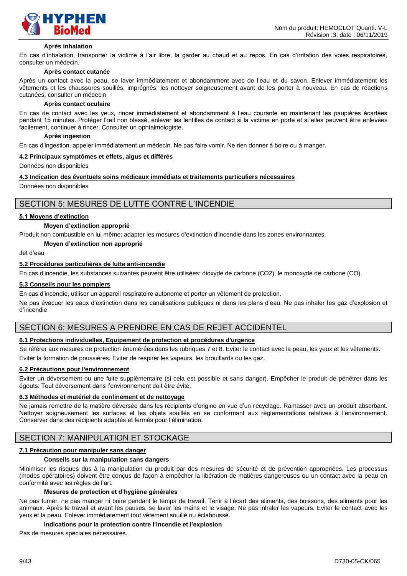

#### **Après inhalation**

En cas d'inhalation, transporter la victime à l'air libre, la garder au chaud et au repos. En cas d'irritation des voies respiratoires, consulter un médecin.

#### **Après contact cutanée**

Après un contact avec la peau, se laver immédiatement et abondamment avec de l'eau et du savon. Enlever immédiatement les vêtements et les chaussures souillés, imprégnés, les nettoyer soigneusement avant de les porter à nouveau. En cas de réactions cutanées, consulter un médecin

#### **Après contact oculaire**

En cas de contact avec les yeux, rincer immédiatement et abondamment à l'eau courante en maintenant les paupières écartées pendant 15 minutes. Protéger l'œil non blessé, enlever les lentilles de contact si la victime en porte et si elles peuvent être enlevées facilement, continuer à rincer. Consulter un ophtalmologiste.

#### **Après ingestion**

En cas d'ingestion, appeler immédiatement un médecin. Ne pas faire vomir. Ne rien donner à boire ou à manger.

#### **4.2 Principaux symptômes et effets, aigus et différés**

Données non disponibles

#### **4.3 Indication des éventuels soins médicaux immédiats et traitements particuliers nécessaires**

Données non disponibles

### SECTION 5: MESURES DE LUTTE CONTRE L'INCENDIE

#### **5.1 Moyens d'extinction**

#### **Moyen d'extinction approprié**

Produit non combustible en lui même; adapter les mesures d'extinction d'incendie dans les zones environnantes.

#### **Moyen d'extinction non approprié**

Jet d'eau

#### **5.2 Procédures particulières de lutte anti-incendie**

En cas d'incendie, les substances suivantes peuvent être utilisées: dioxyde de carbone (CO2), le monoxyde de carbone (CO).

#### **5.3 Conseils pour les pompiers**

En cas d'incendie, utiliser un appareil respiratoire autonome et porter un vêtement de protection.

Ne pas évacuer les eaux d'extinction dans les canalisations publiques ni dans les plans d'eau. Ne pas inhaler les gaz d'explosion et d'incendie

### SECTION 6: MESURES A PRENDRE EN CAS DE REJET ACCIDENTEL

#### **6.1 Protections individuelles, Equipement de protection et procédures d'urgence**

Se référer aux mesures de protection énumérées dans les rubriques 7 et 8. Eviter le contact avec la peau, les yeux et les vêtements. Eviter la formation de poussières. Eviter de respirer les vapeurs, les brouillards ou les gaz.

#### **6.2 Précautions pour l'environnement**

Eviter un déversement ou une fuite supplémentaire (si cela est possible et sans danger). Empêcher le produit de pénétrer dans les égouts. Tout déversement dans l'environnement doit être évité.

#### **6.3 Méthodes et matériel de confinement et de nettoyage**

Ne jamais remettre de la matière déversée dans les récipients d'origine en vue d'un recyclage. Ramasser avec un produit absorbant. Nettoyer soigneusement les surfaces et les objets souillés en se conformant aux règlementations relatives à l'environnement. Conserver dans des récipients adaptés et fermés pour l'élimination.

### SECTION 7: MANIPULATION ET STOCKAGE

#### **7.1 Précaution pour manipuler sans danger**

#### **Conseils sur la manipulation sans dangers**

Minimiser les risques dus à la manipulation du produit par des mesures de sécurité et de prévention appropriées. Les processus (modes opératoires) doivent être conçus de façon à empêcher la libération de matières dangereuses ou un contact avec la peau en conformité avec les règles de l'art.

#### **Mesures de protection et d'hygiène générales**

Ne pas fumer, ne pas manger ni boire pendant le temps de travail. Tenir à l'écart des aliments, des boissons, des aliments pour les animaux. Après le travail et avant les pauses, se laver les mains et le visage. Ne pas inhaler les vapeurs. Eviter le contact avec les yeux et la peau. Enlever immédiatement tout vêtement souillé ou éclaboussé.

#### **Indications pour la protection contre l'incendie et l'explosion**

Pas de mesures spéciales nécessaires.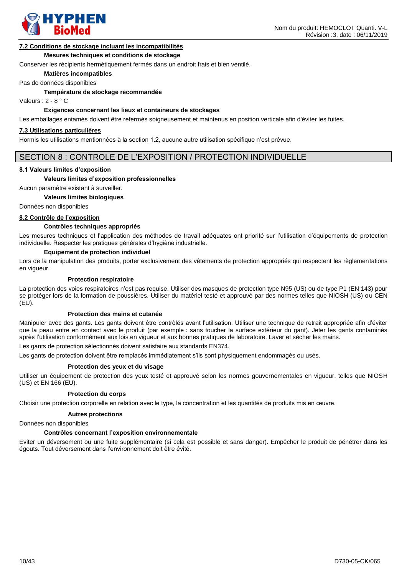

#### **7.2 Conditions de stockage incluant les incompatibilités**

#### **Mesures techniques et conditions de stockage**

Conserver les récipients hermétiquement fermés dans un endroit frais et bien ventilé.

**Matières incompatibles**

Pas de données disponibles

**Température de stockage recommandée**

Valeurs : 2 - 8 ° C

#### **Exigences concernant les lieux et containeurs de stockages**

Les emballages entamés doivent être refermés soigneusement et maintenus en position verticale afin d'éviter les fuites.

#### **7.3 Utilisations particulières**

Hormis les utilisations mentionnées à la section 1.2, aucune autre utilisation spécifique n'est prévue.

#### SECTION 8 : CONTROLE DE L'EXPOSITION / PROTECTION INDIVIDUELLE

#### **8.1 Valeurs limites d'exposition**

#### **Valeurs limites d'exposition professionnelles**

Aucun paramètre existant à surveiller.

#### **Valeurs limites biologiques**

Données non disponibles

#### **8.2 Contrôle de l'exposition**

#### **Contrôles techniques appropriés**

Les mesures techniques et l'application des méthodes de travail adéquates ont priorité sur l'utilisation d'équipements de protection individuelle. Respecter les pratiques générales d'hygiène industrielle.

#### **Equipement de protection individuel**

Lors de la manipulation des produits, porter exclusivement des vêtements de protection appropriés qui respectent les règlementations en vigueur.

#### **Protection respiratoire**

La protection des voies respiratoires n'est pas requise. Utiliser des masques de protection type N95 (US) ou de type P1 (EN 143) pour se protéger lors de la formation de poussières. Utiliser du matériel testé et approuvé par des normes telles que NIOSH (US) ou CEN (EU).

#### **Protection des mains et cutanée**

Manipuler avec des gants. Les gants doivent être contrôlés avant l'utilisation. Utiliser une technique de retrait appropriée afin d'éviter que la peau entre en contact avec le produit (par exemple : sans toucher la surface extérieur du gant). Jeter les gants contaminés après l'utilisation conformément aux lois en vigueur et aux bonnes pratiques de laboratoire. Laver et sécher les mains.

Les gants de protection sélectionnés doivent satisfaire aux standards EN374.

Les gants de protection doivent être remplacés immédiatement s'ils sont physiquement endommagés ou usés.

#### **Protection des yeux et du visage**

Utiliser un équipement de protection des yeux testé et approuvé selon les normes gouvernementales en vigueur, telles que NIOSH (US) et EN 166 (EU).

#### **Protection du corps**

Choisir une protection corporelle en relation avec le type, la concentration et les quantités de produits mis en œuvre.

#### **Autres protections**

Données non disponibles

#### **Contrôles concernant l'exposition environnementale**

Eviter un déversement ou une fuite supplémentaire (si cela est possible et sans danger). Empêcher le produit de pénétrer dans les égouts. Tout déversement dans l'environnement doit être évité.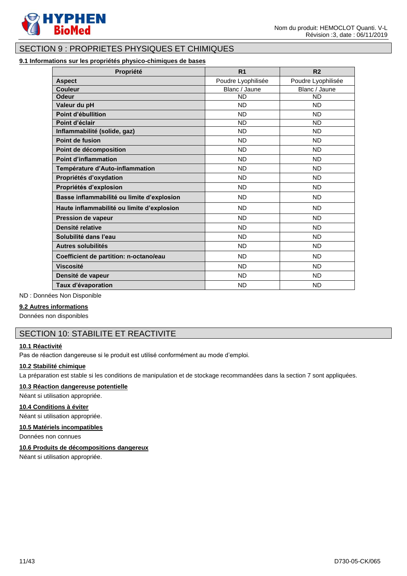

# SECTION 9 : PROPRIETES PHYSIQUES ET CHIMIQUES

### **9.1 Informations sur les propriétés physico-chimiques de bases**

| Propriété                                  | R <sub>1</sub>     | R <sub>2</sub>     |
|--------------------------------------------|--------------------|--------------------|
| <b>Aspect</b>                              | Poudre Lyophilisée | Poudre Lyophilisée |
| Couleur                                    | Blanc / Jaune      | Blanc / Jaune      |
| <b>Odeur</b>                               | <b>ND</b>          | <b>ND</b>          |
| Valeur du pH                               | <b>ND</b>          | <b>ND</b>          |
| Point d'ébullition                         | <b>ND</b>          | <b>ND</b>          |
| Point d'éclair                             | <b>ND</b>          | <b>ND</b>          |
| Inflammabilité (solide, gaz)               | <b>ND</b>          | <b>ND</b>          |
| Point de fusion                            | <b>ND</b>          | <b>ND</b>          |
| Point de décomposition                     | <b>ND</b>          | <b>ND</b>          |
| <b>Point d'inflammation</b>                | <b>ND</b>          | <b>ND</b>          |
| Température d'Auto-inflammation            | <b>ND</b>          | <b>ND</b>          |
| Propriétés d'oxydation                     | <b>ND</b>          | <b>ND</b>          |
| Propriétés d'explosion                     | <b>ND</b>          | <b>ND</b>          |
| Basse inflammabilité ou limite d'explosion | <b>ND</b>          | <b>ND</b>          |
| Haute inflammabilité ou limite d'explosion | <b>ND</b>          | <b>ND</b>          |
| <b>Pression de vapeur</b>                  | <b>ND</b>          | <b>ND</b>          |
| Densité relative                           | <b>ND</b>          | <b>ND</b>          |
| Solubilité dans l'eau                      | <b>ND</b>          | <b>ND</b>          |
| <b>Autres solubilités</b>                  | <b>ND</b>          | <b>ND</b>          |
| Coefficient de partition: n-octano/eau     | <b>ND</b>          | <b>ND</b>          |
| <b>Viscosité</b>                           | <b>ND</b>          | <b>ND</b>          |
| Densité de vapeur                          | <b>ND</b>          | <b>ND</b>          |
| Taux d'évaporation                         | <b>ND</b>          | <b>ND</b>          |

ND : Données Non Disponible

#### **9.2 Autres informations**

Données non disponibles

### SECTION 10: STABILITE ET REACTIVITE

#### **10.1 Réactivité**

Pas de réaction dangereuse si le produit est utilisé conformément au mode d'emploi.

#### **10.2 Stabilité chimique**

La préparation est stable si les conditions de manipulation et de stockage recommandées dans la section 7 sont appliquées.

### **10.3 Réaction dangereuse potentielle**

Néant si utilisation appropriée.

#### **10.4 Conditions à éviter**

Néant si utilisation appropriée.

### **10.5 Matériels incompatibles**

Données non connues

#### **10.6 Produits de décompositions dangereux**

Néant si utilisation appropriée.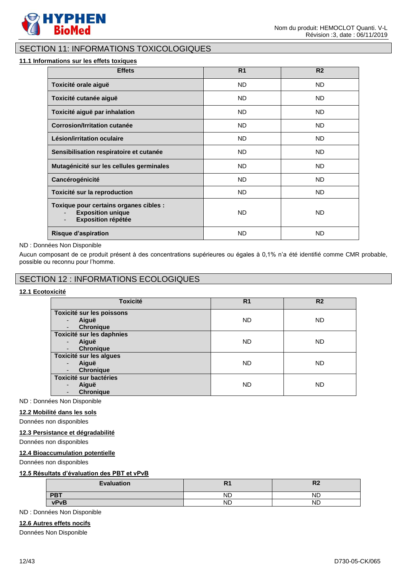

### SECTION 11: INFORMATIONS TOXICOLOGIQUES

#### **11.1 Informations sur les effets toxiques**

| <b>Effets</b>                                                                                   | R <sub>1</sub> | R <sub>2</sub> |
|-------------------------------------------------------------------------------------------------|----------------|----------------|
| Toxicité orale aiguë                                                                            | ND.            | ND.            |
| Toxicité cutanée aiguë                                                                          | ND.            | ND.            |
| Toxicité aiguë par inhalation                                                                   | <b>ND</b>      | ND.            |
| Corrosion/Irritation cutanée                                                                    | ND.            | ND.            |
| Lésion/irritation oculaire                                                                      | <b>ND</b>      | ND.            |
| Sensibilisation respiratoire et cutanée                                                         | <b>ND</b>      | <b>ND</b>      |
| Mutagénicité sur les cellules germinales                                                        | <b>ND</b>      | <b>ND</b>      |
| Cancérogénicité                                                                                 | <b>ND</b>      | <b>ND</b>      |
| Toxicité sur la reproduction                                                                    | ND.            | ND.            |
| Toxique pour certains organes cibles :<br><b>Exposition unique</b><br><b>Exposition répétée</b> | <b>ND</b>      | ND.            |
| <b>Risque d'aspiration</b>                                                                      | <b>ND</b>      | <b>ND</b>      |

#### ND : Données Non Disponible

Aucun composant de ce produit présent à des concentrations supérieures ou égales à 0,1% n'a été identifié comme CMR probable, possible ou reconnu pour l'homme.

### SECTION 12 : INFORMATIONS ECOLOGIQUES

### **12.1 Ecotoxicité**

| <b>Toxicité</b>                                                                        | R <sub>1</sub> | R <sub>2</sub> |
|----------------------------------------------------------------------------------------|----------------|----------------|
| Toxicité sur les poissons<br>Aiguë<br>٠<br><b>Chronique</b><br>-                       | <b>ND</b>      | <b>ND</b>      |
| Toxicité sur les daphnies<br>Aiguë<br>$\blacksquare$<br><b>Chronique</b><br>-          | <b>ND</b>      | ND.            |
| Toxicité sur les algues<br>Aiguë<br>$\blacksquare$<br><b>Chronique</b><br>-            | <b>ND</b>      | <b>ND</b>      |
| <b>Toxicité sur bactéries</b><br>Aiguë<br>$\overline{\phantom{0}}$<br><b>Chronique</b> | <b>ND</b>      | ND.            |

ND : Données Non Disponible

#### **12.2 Mobilité dans les sols**

Données non disponibles

#### **12.3 Persistance et dégradabilité**

Données non disponibles

#### **12.4 Bioaccumulation potentielle**

Données non disponibles

#### **12.5 Résultats d'évaluation des PBT et vPvB**

| <b>Evaluation</b> | .         | D0<br>⋯   |
|-------------------|-----------|-----------|
| <b>PBT</b>        | <b>ND</b> | ND        |
| <b>vPvB</b>       | ND        | <b>ND</b> |

ND : Données Non Disponible

### **12.6 Autres effets nocifs**

Données Non Disponible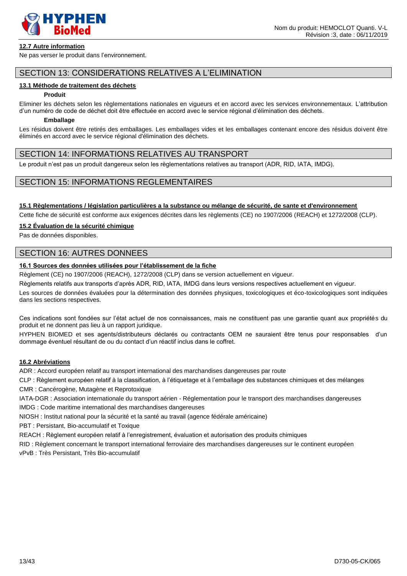

#### **12.7 Autre information**

Ne pas verser le produit dans l'environnement.

# SECTION 13: CONSIDERATIONS RELATIVES A L'ELIMINATION

#### **13.1 Méthode de traitement des déchets**

#### **Produit**

Eliminer les déchets selon les règlementations nationales en vigueurs et en accord avec les services environnementaux. L'attribution d'un numéro de code de déchet doit être effectuée en accord avec le service régional d'élimination des déchets.

#### **Emballage**

Les résidus doivent être retirés des emballages. Les emballages vides et les emballages contenant encore des résidus doivent être éliminés en accord avec le service régional d'élimination des déchets.

### SECTION 14: INFORMATIONS RELATIVES AU TRANSPORT

Le produit n'est pas un produit dangereux selon les règlementations relatives au transport (ADR, RID, IATA, IMDG).

### SECTION 15: INFORMATIONS REGLEMENTAIRES

#### **15.1 Règlementations / législation particulières a la substance ou mélange de sécurité, de sante et d'environnement**

Cette fiche de sécurité est conforme aux exigences décrites dans les règlements (CE) no 1907/2006 (REACH) et 1272/2008 (CLP).

#### **15.2 Évaluation de la sécurité chimique**

Pas de données disponibles.

### SECTION 16: AUTRES DONNEES

### **16.1 Sources des données utilisées pour l'établissement de la fiche**

Règlement (CE) no 1907/2006 (REACH), 1272/2008 (CLP) dans se version actuellement en vigueur.

Règlements relatifs aux transports d'après ADR, RID, IATA, IMDG dans leurs versions respectives actuellement en vigueur.

Les sources de données évaluées pour la détermination des données physiques, toxicologiques et éco-toxicologiques sont indiquées dans les sections respectives.

Ces indications sont fondées sur l'état actuel de nos connaissances, mais ne constituent pas une garantie quant aux propriétés du produit et ne donnent pas lieu à un rapport juridique.

HYPHEN BIOMED et ses agents/distributeurs déclarés ou contractants OEM ne sauraient être tenus pour responsables d'un dommage éventuel résultant de ou du contact d'un réactif inclus dans le coffret.

#### **16.2 Abréviations**

ADR : Accord européen relatif au transport international des marchandises dangereuses par route

CLP : Règlement européen relatif à la classification, à l'étiquetage et à l'emballage des substances chimiques et des mélanges CMR : Cancérogène, Mutagène et Reprotoxique

IATA-DGR : Association internationale du transport aérien - Réglementation pour le transport des marchandises dangereuses

IMDG : Code maritime international des marchandises dangereuses

NIOSH : Institut national pour la sécurité et la santé au travail (agence fédérale américaine)

PBT : Persistant, Bio-accumulatif et Toxique

REACH : Règlement européen relatif à l'enregistrement, évaluation et autorisation des produits chimiques

RID : Règlement concernant le transport international ferroviaire des marchandises dangereuses sur le continent européen

vPvB : Très Persistant, Très Bio-accumulatif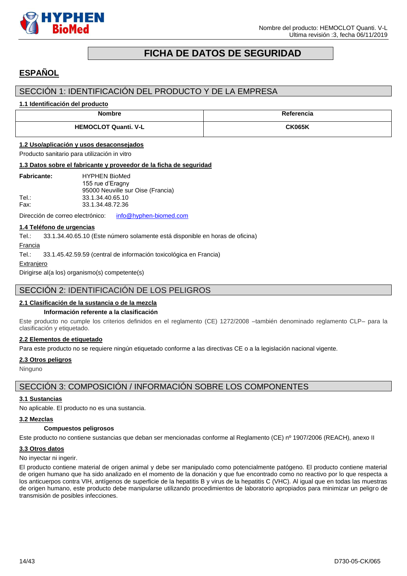

# **FICHA DE DATOS DE SEGURIDAD**

# <span id="page-13-0"></span>**ESPAÑOL**

### SECCIÓN 1: IDENTIFICACIÓN DEL PRODUCTO Y DE LA EMPRESA

#### **1.1 Identificación del producto**

| <b>Nombre</b>               | Referencia    |
|-----------------------------|---------------|
| <b>HEMOCLOT Quanti. V-L</b> | <b>CK065K</b> |

#### **1.2 Uso/aplicación y usos desaconsejados**

Producto sanitario para utilización in vitro

#### **1.3 Datos sobre el fabricante y proveedor de la ficha de seguridad**

| <b>Fabricante:</b> | <b>HYPHEN BioMed</b>              |
|--------------------|-----------------------------------|
|                    | 155 rue d'Eragny                  |
|                    | 95000 Neuville sur Oise (Francia) |
| Tel :              | 33.1.34.40.65.10                  |
| Fax:               | 33.1.34.48.72.36                  |

Dirección de correo electrónico: [info@hyphen-biomed.com](mailto:info@hyphen-biomed.com)

#### **1.4 Teléfono de urgencias**

Tel.: 33.1.34.40.65.10 (Este número solamente está disponible en horas de oficina)

Francia

Tel.: 33.1.45.42.59.59 (central de información toxicológica en Francia)

**Extranjero** 

Dirigirse al(a los) organismo(s) competente(s)

### SECCIÓN 2: IDENTIFICACIÓN DE LOS PELIGROS

#### **2.1 Clasificación de la sustancia o de la mezcla**

#### **Información referente a la clasificación**

Este producto no cumple los criterios definidos en el reglamento (CE) 1272/2008 –también denominado reglamento CLP– para la clasificación y etiquetado.

#### **2.2 Elementos de etiquetado**

Para este producto no se requiere ningún etiquetado conforme a las directivas CE o a la legislación nacional vigente.

#### **2.3 Otros peligros**

Ninguno

### SECCIÓN 3: COMPOSICIÓN / INFORMACIÓN SOBRE LOS COMPONENTES

#### **3.1 Sustancias**

No aplicable. El producto no es una sustancia.

#### **3.2 Mezclas**

#### **Compuestos peligrosos**

Este producto no contiene sustancias que deban ser mencionadas conforme al Reglamento (CE) nº 1907/2006 (REACH), anexo II

#### **3.3 Otros datos**

No inyectar ni ingerir.

El producto contiene material de origen animal y debe ser manipulado como potencialmente patógeno. El producto contiene material de origen humano que ha sido analizado en el momento de la donación y que fue encontrado como no reactivo por lo que respecta a los anticuerpos contra VIH, antígenos de superficie de la hepatitis B y virus de la hepatitis C (VHC). Al igual que en todas las muestras de origen humano, este producto debe manipularse utilizando procedimientos de laboratorio apropiados para minimizar un peligro de transmisión de posibles infecciones.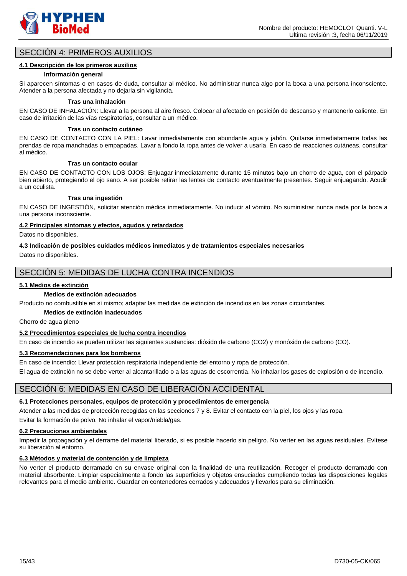

### SECCIÓN 4: PRIMEROS AUXILIOS

#### **4.1 Descripción de los primeros auxilios**

#### **Información general**

Si aparecen síntomas o en casos de duda, consultar al médico. No administrar nunca algo por la boca a una persona inconsciente. Atender a la persona afectada y no dejarla sin vigilancia.

#### **Tras una inhalación**

EN CASO DE INHALACIÓN: Llevar a la persona al aire fresco. Colocar al afectado en posición de descanso y mantenerlo caliente. En caso de irritación de las vías respiratorias, consultar a un médico.

#### **Tras un contacto cutáneo**

EN CASO DE CONTACTO CON LA PIEL: Lavar inmediatamente con abundante agua y jabón. Quitarse inmediatamente todas las prendas de ropa manchadas o empapadas. Lavar a fondo la ropa antes de volver a usarla. En caso de reacciones cutáneas, consultar al médico.

#### **Tras un contacto ocular**

EN CASO DE CONTACTO CON LOS OJOS: Enjuagar inmediatamente durante 15 minutos bajo un chorro de agua, con el párpado bien abierto, protegiendo el ojo sano. A ser posible retirar las lentes de contacto eventualmente presentes. Seguir enjuagando. Acudir a un oculista.

#### **Tras una ingestión**

EN CASO DE INGESTIÓN, solicitar atención médica inmediatamente. No inducir al vómito. No suministrar nunca nada por la boca a una persona inconsciente.

#### **4.2 Principales síntomas y efectos, agudos y retardados**

Datos no disponibles.

#### **4.3 Indicación de posibles cuidados médicos inmediatos y de tratamientos especiales necesarios**

Datos no disponibles.

### SECCIÓN 5: MEDIDAS DE LUCHA CONTRA INCENDIOS

#### **5.1 Medios de extinción**

#### **Medios de extinción adecuados**

Producto no combustible en sí mismo; adaptar las medidas de extinción de incendios en las zonas circundantes.

#### **Medios de extinción inadecuados**

Chorro de agua pleno

### **5.2 Procedimientos especiales de lucha contra incendios**

En caso de incendio se pueden utilizar las siguientes sustancias: dióxido de carbono (CO2) y monóxido de carbono (CO).

#### **5.3 Recomendaciones para los bomberos**

En caso de incendio: Llevar protección respiratoria independiente del entorno y ropa de protección.

El agua de extinción no se debe verter al alcantarillado o a las aguas de escorrentía. No inhalar los gases de explosión o de incendio.

### SECCIÓN 6: MEDIDAS EN CASO DE LIBERACIÓN ACCIDENTAL

### **6.1 Protecciones personales, equipos de protección y procedimientos de emergencia**

Atender a las medidas de protección recogidas en las secciones 7 y 8. Evitar el contacto con la piel, los ojos y las ropa. Evitar la formación de polvo. No inhalar el vapor/niebla/gas.

### **6.2 Precauciones ambientales**

Impedir la propagación y el derrame del material liberado, si es posible hacerlo sin peligro. No verter en las aguas residuales. Evítese su liberación al entorno.

### **6.3 Métodos y material de contención y de limpieza**

No verter el producto derramado en su envase original con la finalidad de una reutilización. Recoger el producto derramado con material absorbente. Limpiar especialmente a fondo las superficies y objetos ensuciados cumpliendo todas las disposiciones legales relevantes para el medio ambiente. Guardar en contenedores cerrados y adecuados y llevarlos para su eliminación.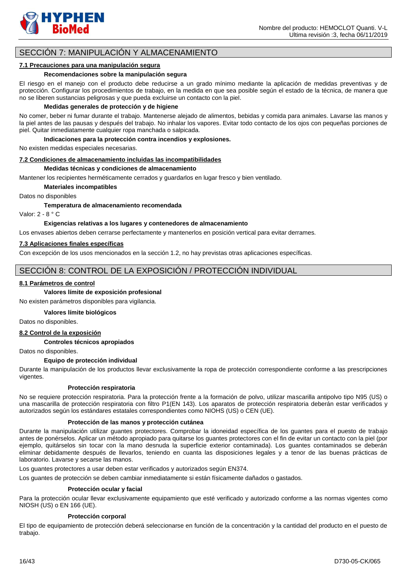

### SECCIÓN 7: MANIPULACIÓN Y ALMACENAMIENTO

#### **7.1 Precauciones para una manipulación segura**

#### **Recomendaciones sobre la manipulación segura**

El riesgo en el manejo con el producto debe reducirse a un grado mínimo mediante la aplicación de medidas preventivas y de protección. Configurar los procedimientos de trabajo, en la medida en que sea posible según el estado de la técnica, de manera que no se liberen sustancias peligrosas y que pueda excluirse un contacto con la piel.

#### **Medidas generales de protección y de higiene**

No comer, beber ni fumar durante el trabajo. Mantenerse alejado de alimentos, bebidas y comida para animales. Lavarse las manos y la piel antes de las pausas y después del trabajo. No inhalar los vapores. Evitar todo contacto de los ojos con pequeñas porciones de piel. Quitar inmediatamente cualquier ropa manchada o salpicada.

#### **Indicaciones para la protección contra incendios y explosiones.**

No existen medidas especiales necesarias.

#### **7.2 Condiciones de almacenamiento incluidas las incompatibilidades**

#### **Medidas técnicas y condiciones de almacenamiento**

Mantener los recipientes herméticamente cerrados y guardarlos en lugar fresco y bien ventilado.

#### **Materiales incompatibles**

Datos no disponibles

**Temperatura de almacenamiento recomendada**

Valor: 2 - 8 ° C

#### **Exigencias relativas a los lugares y contenedores de almacenamiento**

Los envases abiertos deben cerrarse perfectamente y mantenerlos en posición vertical para evitar derrames.

#### **7.3 Aplicaciones finales específicas**

Con excepción de los usos mencionados en la sección 1.2, no hay previstas otras aplicaciones específicas.

### SECCIÓN 8: CONTROL DE LA EXPOSICIÓN / PROTECCIÓN INDIVIDUAL

#### **8.1 Parámetros de control**

#### **Valores límite de exposición profesional**

No existen parámetros disponibles para vigilancia.

#### **Valores límite biológicos**

Datos no disponibles.

#### **8.2 Control de la exposición**

#### **Controles técnicos apropiados**

Datos no disponibles.

#### **Equipo de protección individual**

Durante la manipulación de los productos llevar exclusivamente la ropa de protección correspondiente conforme a las prescripciones vigentes.

#### **Protección respiratoria**

No se requiere protección respiratoria. Para la protección frente a la formación de polvo, utilizar mascarilla antipolvo tipo N95 (US) o una mascarilla de protección respiratoria con filtro P1(EN 143). Los aparatos de protección respiratoria deberán estar verificados y autorizados según los estándares estatales correspondientes como NIOHS (US) o CEN (UE).

#### **Protección de las manos y protección cutánea**

Durante la manipulación utilizar guantes protectores. Comprobar la idoneidad específica de los guantes para el puesto de trabajo antes de ponérselos. Aplicar un método apropiado para quitarse los guantes protectores con el fin de evitar un contacto con la piel (por ejemplo, quitárselos sin tocar con la mano desnuda la superficie exterior contaminada). Los guantes contaminados se deberán eliminar debidamente después de llevarlos, teniendo en cuanta las disposiciones legales y a tenor de las buenas prácticas de laboratorio. Lavarse y secarse las manos.

Los guantes protectores a usar deben estar verificados y autorizados según EN374.

Los guantes de protección se deben cambiar inmediatamente si están físicamente dañados o gastados.

#### **Protección ocular y facial**

Para la protección ocular llevar exclusivamente equipamiento que esté verificado y autorizado conforme a las normas vigentes como NIOSH (US) o EN 166 (UE).

#### **Protección corporal**

El tipo de equipamiento de protección deberá seleccionarse en función de la concentración y la cantidad del producto en el puesto de trabajo.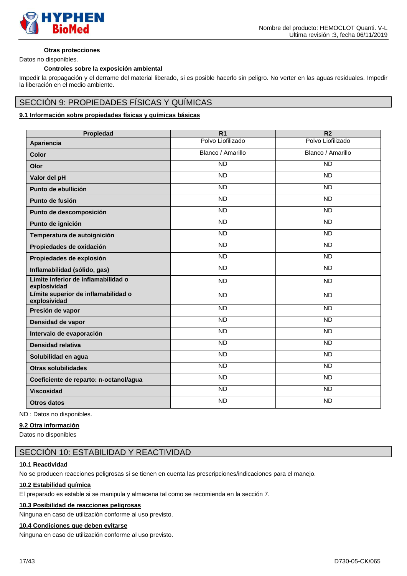

#### **Otras protecciones**

Datos no disponibles.

#### **Controles sobre la exposición ambiental**

Impedir la propagación y el derrame del material liberado, si es posible hacerlo sin peligro. No verter en las aguas residuales. Impedir la liberación en el medio ambiente.

# SECCIÓN 9: PROPIEDADES FÍSICAS Y QUÍMICAS

### **9.1 Información sobre propiedades físicas y químicas básicas**

| Propiedad                                           | R <sub>1</sub>    | R <sub>2</sub>    |
|-----------------------------------------------------|-------------------|-------------------|
| Apariencia                                          | Polvo Liofilizado | Polvo Liofilizado |
| Color                                               | Blanco / Amarillo | Blanco / Amarillo |
| Olor                                                | <b>ND</b>         | <b>ND</b>         |
| Valor del pH                                        | $\overline{ND}$   | $\overline{ND}$   |
| Punto de ebullición                                 | $\overline{ND}$   | $\overline{ND}$   |
| Punto de fusión                                     | $\overline{ND}$   | <b>ND</b>         |
| Punto de descomposición                             | <b>ND</b>         | <b>ND</b>         |
| Punto de ignición                                   | $\overline{ND}$   | <b>ND</b>         |
| Temperatura de autoignición                         | $\overline{ND}$   | $\overline{ND}$   |
| Propiedades de oxidación                            | <b>ND</b>         | <b>ND</b>         |
| Propiedades de explosión                            | $\overline{ND}$   | $\overline{ND}$   |
| Inflamabilidad (sólido, gas)                        | <b>ND</b>         | <b>ND</b>         |
| Límite inferior de inflamabilidad o<br>explosividad | <b>ND</b>         | <b>ND</b>         |
| Límite superior de inflamabilidad o<br>explosividad | <b>ND</b>         | <b>ND</b>         |
| Presión de vapor                                    | $\overline{ND}$   | $\overline{ND}$   |
| Densidad de vapor                                   | <b>ND</b>         | <b>ND</b>         |
| Intervalo de evaporación                            | $\overline{ND}$   | $\overline{ND}$   |
| Densidad relativa                                   | <b>ND</b>         | <b>ND</b>         |
| Solubilidad en agua                                 | $\overline{ND}$   | $\overline{ND}$   |
| <b>Otras solubilidades</b>                          | <b>ND</b>         | <b>ND</b>         |
| Coeficiente de reparto: n-octanol/agua              | $\overline{ND}$   | <b>ND</b>         |
| <b>Viscosidad</b>                                   | <b>ND</b>         | <b>ND</b>         |
| Otros datos                                         | <b>ND</b>         | <b>ND</b>         |

ND : Datos no disponibles.

#### **9.2 Otra información**

Datos no disponibles

### SECCIÓN 10: ESTABILIDAD Y REACTIVIDAD

#### **10.1 Reactividad**

No se producen reacciones peligrosas si se tienen en cuenta las prescripciones/indicaciones para el manejo.

#### **10.2 Estabilidad química**

El preparado es estable si se manipula y almacena tal como se recomienda en la sección 7.

#### **10.3 Posibilidad de reacciones peligrosas**

Ninguna en caso de utilización conforme al uso previsto.

### **10.4 Condiciones que deben evitarse**

Ninguna en caso de utilización conforme al uso previsto.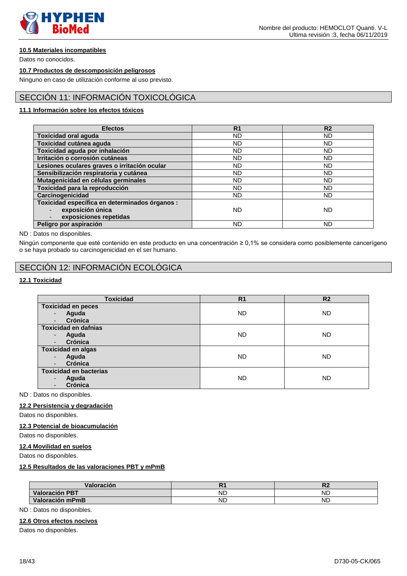

### **10.5 Materiales incompatibles**

Datos no conocidos.

#### **10.7 Productos de descomposición peligrosos**

Ninguno en caso de utilización conforme al uso previsto.

### SECCIÓN 11: INFORMACIÓN TOXICOLÓGICA

### **11.1 Información sobre los efectos tóxicos**

| <b>Efectos</b>                                 | R <sub>1</sub> | R <sub>2</sub> |
|------------------------------------------------|----------------|----------------|
|                                                |                |                |
| <b>Toxicidad oral aguda</b>                    | ND.            | <b>ND</b>      |
| Toxicidad cutánea aguda                        | <b>ND</b>      | <b>ND</b>      |
| Toxicidad aguda por inhalación                 | <b>ND</b>      | <b>ND</b>      |
| Irritación o corrosión cutáneas                | <b>ND</b>      | <b>ND</b>      |
| Lesiones oculares graves o irritación ocular   | <b>ND</b>      | <b>ND</b>      |
| Sensibilización respiratoria y cutánea         | ND             | ND             |
| Mutagenicidad en células germinales            | <b>ND</b>      | <b>ND</b>      |
| Toxicidad para la reproducción                 | ND             | ND             |
| Carcinogenicidad                               | <b>ND</b>      | <b>ND</b>      |
| Toxicidad específica en determinados órganos : |                |                |
| exposición única                               | <b>ND</b>      | <b>ND</b>      |
| exposiciones repetidas                         |                |                |
| Peligro por aspiración                         | <b>ND</b>      | <b>ND</b>      |

ND : Datos no disponibles.

Ningún componente que esté contenido en este producto en una concentración ≥ 0,1% se considera como posiblemente cancerígeno o se haya probado su carcinogenicidad en el ser humano.

### SECCIÓN 12: INFORMACIÓN ECOLÓGICA

### **12.1 Toxicidad**

| <b>Toxicidad</b>                  | R <sub>1</sub> | R <sub>2</sub> |
|-----------------------------------|----------------|----------------|
| <b>Toxicidad en peces</b>         |                |                |
| Aguda<br>$\blacksquare$           | <b>ND</b>      | <b>ND</b>      |
| Crónica                           |                |                |
| <b>Toxicidad en dafnias</b>       |                |                |
| Aguda<br>$\overline{\phantom{a}}$ | <b>ND</b>      | <b>ND</b>      |
| Crónica                           |                |                |
| <b>Toxicidad en algas</b>         |                |                |
| Aguda<br>$\overline{\phantom{a}}$ | <b>ND</b>      | <b>ND</b>      |
| Crónica                           |                |                |
| <b>Toxicidad en bacterias</b>     |                |                |
| Aguda                             | <b>ND</b>      | <b>ND</b>      |
| Crónica                           |                |                |

ND : Datos no disponibles.

#### **12.2 Persistencia y degradación**

Datos no disponibles.

#### **12.3 Potencial de bioacumulación**

Datos no disponibles.

#### **12.4 Movilidad en suelos**

Datos no disponibles.

### **12.5 Resultados de las valoraciones PBT y mPmB**

| Valoración            |    | ै∠        |
|-----------------------|----|-----------|
| <b>Valoración PBT</b> | ND | <b>ND</b> |
| Valoración mPmB       | ND | <b>ND</b> |

ND : Datos no disponibles.

#### **12.6 Otros efectos nocivos**

Datos no disponibles.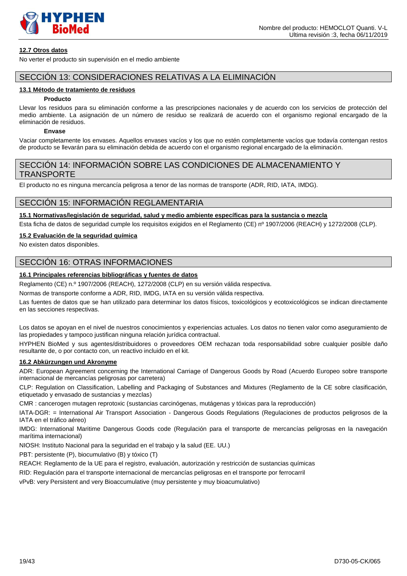

#### **12.7 Otros datos**

No verter el producto sin supervisión en el medio ambiente

### SECCIÓN 13: CONSIDERACIONES RELATIVAS A LA ELIMINACIÓN

#### **13.1 Método de tratamiento de residuos**

#### **Producto**

Llevar los residuos para su eliminación conforme a las prescripciones nacionales y de acuerdo con los servicios de protección del medio ambiente. La asignación de un número de residuo se realizará de acuerdo con el organismo regional encargado de la eliminación de residuos.

### **Envase**

Vaciar completamente los envases. Aquellos envases vacíos y los que no estén completamente vacíos que todavía contengan restos de producto se llevarán para su eliminación debida de acuerdo con el organismo regional encargado de la eliminación.

### SECCIÓN 14: INFORMACIÓN SOBRE LAS CONDICIONES DE ALMACENAMIENTO Y TRANSPORTE

El producto no es ninguna mercancía peligrosa a tenor de las normas de transporte (ADR, RID, IATA, IMDG).

### SECCIÓN 15: INFORMACIÓN REGLAMENTARIA

### **15.1 Normativas/legislación de seguridad, salud y medio ambiente específicas para la sustancia o mezcla**

Esta ficha de datos de seguridad cumple los requisitos exigidos en el Reglamento (CE) nº 1907/2006 (REACH) y 1272/2008 (CLP).

#### **15.2 Evaluación de la seguridad química**

No existen datos disponibles.

# SECCIÓN 16: OTRAS INFORMACIONES

### **16.1 Principales referencias bibliográficas y fuentes de datos**

Reglamento (CE) n.º 1907/2006 (REACH), 1272/2008 (CLP) en su versión válida respectiva.

Normas de transporte conforme a ADR, RID, IMDG, IATA en su versión válida respectiva.

Las fuentes de datos que se han utilizado para determinar los datos físicos, toxicológicos y ecotoxicológicos se indican directamente en las secciones respectivas.

Los datos se apoyan en el nivel de nuestros conocimientos y experiencias actuales. Los datos no tienen valor como aseguramiento de las propiedades y tampoco justifican ninguna relación jurídica contractual.

HYPHEN BioMed y sus agentes/distribuidores o proveedores OEM rechazan toda responsabilidad sobre cualquier posible daño resultante de, o por contacto con, un reactivo incluido en el kit.

#### **16.2 Abkürzungen und Akronyme**

ADR: European Agreement concerning the International Carriage of Dangerous Goods by Road (Acuerdo Europeo sobre transporte internacional de mercancías peligrosas por carretera)

CLP: Regulation on Classification, Labelling and Packaging of Substances and Mixtures (Reglamento de la CE sobre clasificación, etiquetado y envasado de sustancias y mezclas)

CMR : cancerogen mutagen reprotoxic (sustancias carcinógenas, mutágenas y tóxicas para la reproducción)

IATA-DGR: = International Air Transport Association - Dangerous Goods Regulations (Regulaciones de productos peligrosos de la IATA en el tráfico aéreo)

IMDG: International Maritime Dangerous Goods code (Regulación para el transporte de mercancías peligrosas en la navegación marítima internacional)

NIOSH: Instituto Nacional para la seguridad en el trabajo y la salud (EE. UU.)

PBT: persistente (P), biocumulativo (B) y tóxico (T)

REACH: Reglamento de la UE para el registro, evaluación, autorización y restricción de sustancias químicas

RID: Regulación para el transporte internacional de mercancías peligrosas en el transporte por ferrocarril

vPvB: very Persistent and very Bioaccumulative (muy persistente y muy bioacumulativo)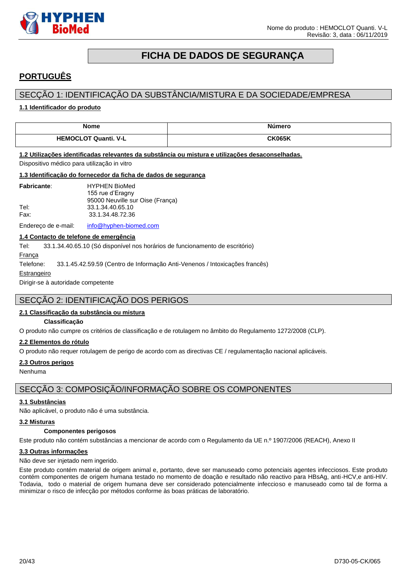

# **FICHA DE DADOS DE SEGURANÇA**

# <span id="page-19-0"></span>**PORTUGUÊS**

### SECÇÃO 1: IDENTIFICAÇÃO DA SUBSTÂNCIA/MISTURA E DA SOCIEDADE/EMPRESA

#### **1.1 Identificador do produto**

| <b>Nome</b>                 | Número        |
|-----------------------------|---------------|
| <b>HEMOCLOT Quanti. V-L</b> | <b>CK065K</b> |

#### **1.2 Utilizações identificadas relevantes da substância ou mistura e utilizações desaconselhadas.**

Dispositivo médico para utilização in vitro

#### **1.3 Identificação do fornecedor da ficha de dados de segurança**

| <b>Fabricante:</b> | <b>HYPHEN BioMed</b>             |
|--------------------|----------------------------------|
|                    | 155 rue d'Eragny                 |
|                    | 95000 Neuville sur Oise (Franca) |
| Tel:               | 33.1.34.40.65.10                 |
| Fax:               | 33.1.34.48.72.36                 |
|                    |                                  |

Endereço de e-mail: [info@hyphen-biomed.com](mailto:info@hyphen-biomed.com)

#### **1.4 Contacto de telefone de emergência**

Tel: 33.1.34.40.65.10 (Só disponível nos horários de funcionamento de escritório)

França

Telefone: 33.1.45.42.59.59 (Centro de Informação Anti-Venenos / Intoxicações francês)

#### Estrangeiro

Dirigir-se à autoridade competente

### SECÇÃO 2: IDENTIFICAÇÃO DOS PERIGOS

#### **2.1 Classificação da substância ou mistura**

#### **Classificação**

O produto não cumpre os critérios de classificação e de rotulagem no âmbito do Regulamento 1272/2008 (CLP).

#### **2.2 Elementos do rótulo**

O produto não requer rotulagem de perigo de acordo com as directivas CE / regulamentação nacional aplicáveis.

#### **2.3 Outros perigos**

Nenhuma

### SECÇÃO 3: COMPOSIÇÃO/INFORMAÇÃO SOBRE OS COMPONENTES

#### **3.1 Substâncias**

Não aplicável, o produto não é uma substância.

#### **3.2 Misturas**

#### **Componentes perigosos**

Este produto não contém substâncias a mencionar de acordo com o Regulamento da UE n.º 1907/2006 (REACH), Anexo II

#### **3.3 Outras informações**

Não deve ser injetado nem ingerido.

Este produto contém material de origem animal e, portanto, deve ser manuseado como potenciais agentes infecciosos. Este produto contém componentes de origem humana testado no momento de doação e resultado não reactivo para HBsAg, anti-HCV,e anti-HIV. Todavia, todo o material de origem humana deve ser considerado potencialmente infeccioso e manuseado como tal de forma a minimizar o risco de infecção por métodos conforme às boas práticas de laboratório.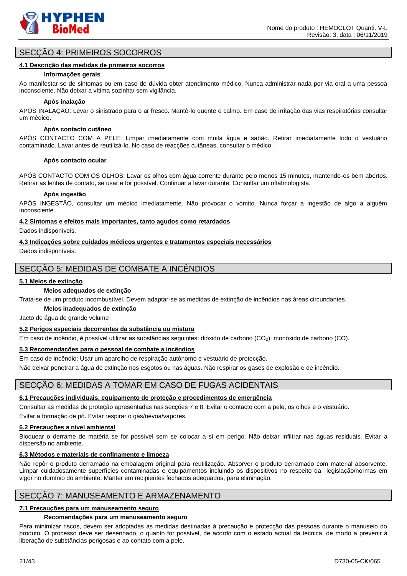

### SECÇÃO 4: PRIMEIROS SOCORROS

#### **4.1 Descrição das medidas de primeiros socorros**

#### **Informações gerais**

Ao manifestar-se de sintomas ou em caso de dúvida obter atendimento médico. Nunca administrar nada por via oral a uma pessoa inconsciente. Não deixar a vítima sozinha/ sem vigilância.

#### **Após inalação**

APÓS INALAÇAO: Levar o sinistrado para o ar fresco. Mantê-lo quente e calmo. Em caso de irritação das vias respiratórias consultar um médico.

#### **Após contacto cutâneo**

APÓS CONTACTO COM A PELE: Limpar imediatamente com muita água e sabão. Retirar imediatamente todo o vestuário contaminado. Lavar antes de reutilizá-lo. No caso de reacções cutâneas, consultar o médico .

#### **Após contacto ocular**

APÓS CONTACTO COM OS OLHOS: Lavar os olhos com água corrente durante pelo menos 15 minutos, mantendo-os bem abertos. Retirar as lentes de contato, se usar e for possível. Continuar a lavar durante. Consultar um oftalmologista.

#### **Após ingestão**

APÓS INGESTÃO, consultar um médico imediatamente. Não provocar o vómito. Nunca forçar a ingestão de algo a alguém inconsciente.

#### **4.2 Sintomas e efeitos mais importantes, tanto agudos como retardados**

Dados indisponíveis.

#### **4.3 Indicações sobre cuidados médicos urgentes e tratamentos especiais necessários**

Dados indisponíveis.

### SECÇÃO 5: MEDIDAS DE COMBATE A INCÊNDIOS

#### **5.1 Meios de extinção**

#### **Meios adequados de extinção**

Trata-se de um produto incombustível. Devem adaptar-se as medidas de extinção de incêndios nas áreas circundantes.

#### **Meios inadequados de extinção**

Jacto de água de grande volume

#### **5.2 Perigos especiais decorrentes da substância ou mistura**

Em caso de incêndio, é possível utilizar as substâncias seguintes: dióxido de carbono (CO2); monóxido de carbono (CO).

#### **5.3 Recomendações para o pessoal de combate a incêndios**

Em caso de incêndio: Usar um aparelho de respiração autónomo e vestuário de protecção.

Não deixar penetrar a água de extinção nos esgotos ou nas águas. Não respirar os gases de explosão e de incêndio.

### SECÇÃO 6: MEDIDAS A TOMAR EM CASO DE FUGAS ACIDENTAIS

### **6.1 Precauções individuais, equipamento de proteção e procedimentos de emergência**

Consultar as medidas de proteção apresentadas nas secções 7 e 8. Evitar o contacto com a pele, os olhos e o vestuário. Evitar a formação de pó. Evitar respirar o gás/névoa/vapores.

### **6.2 Precauções a nível ambiental**

Bloquear o derrame de matéria se for possível sem se colocar a si em perigo. Não deixar infiltrar nas águas residuais. Evitar a dispersão no ambiente.

### **6.3 Métodos e materiais de confinamento e limpeza**

Não repôr o produto derramado na embalagem original para reutilização. Absorver o produto derramado com material absorvente. Limpar cuidadosamente superfícies contaminadas e equipamentos incluindo os dispositivos no respeito da legislação/normas em vigor no domínio do ambiente. Manter em recipientes fechados adequados, para eliminação.

# SECÇÃO 7: MANUSEAMENTO E ARMAZENAMENTO

### **7.1 Precauções para um manuseamento seguro**

### **Recomendações para um manuseamento seguro**

Para minimizar riscos, devem ser adoptadas as medidas destinadas à precaução e protecção das pessoas durante o manuseio do produto. O processo deve ser desenhado, o quanto for possível, de acordo com o estado actual da técnica, de modo a prevenir à liberação de substâncias perigosas e ao contato com a pele.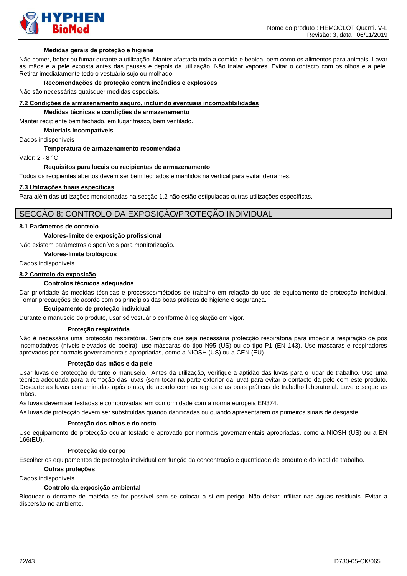

#### **Medidas gerais de proteção e higiene**

Não comer, beber ou fumar durante a utilização. Manter afastada toda a comida e bebida, bem como os alimentos para animais. Lavar as mãos e a pele exposta antes das pausas e depois da utilização. Não inalar vapores. Evitar o contacto com os olhos e a pele. Retirar imediatamente todo o vestuário sujo ou molhado.

#### **Recomendações de proteção contra incêndios e explosões**

Não são necessárias quaisquer medidas especiais.

#### **7.2 Condições de armazenamento seguro, incluindo eventuais incompatibilidades**

#### **Medidas técnicas e condições de armazenamento**

Manter recipiente bem fechado, em lugar fresco, bem ventilado.

**Materiais incompatíveis**

Dados indisponíveis

#### **Temperatura de armazenamento recomendada**

Valor: 2 - 8 °C

#### **Requisitos para locais ou recipientes de armazenamento**

Todos os recipientes abertos devem ser bem fechados e mantidos na vertical para evitar derrames.

#### **7.3 Utilizações finais específicas**

Para além das utilizações mencionadas na secção 1.2 não estão estipuladas outras utilizações específicas.

### SECÇÃO 8: CONTROLO DA EXPOSIÇÃO/PROTEÇÃO INDIVIDUAL

#### **8.1 Parâmetros de controlo**

#### **Valores-limite de exposição profissional**

Não existem parâmetros disponíveis para monitorização.

#### **Valores-limite biológicos**

Dados indisponíveis.

#### **8.2 Controlo da exposição**

#### **Controlos técnicos adequados**

Dar prioridade às medidas técnicas e processos/métodos de trabalho em relação do uso de equipamento de protecção individual. Tomar precauções de acordo com os princípios das boas práticas de higiene e segurança.

#### **Equipamento de proteção individual**

Durante o manuseio do produto, usar só vestuário conforme à legislação em vigor.

#### **Proteção respiratória**

Não é necessária uma protecção respiratória. Sempre que seja necessária protecção respiratória para impedir a respiração de pós incomodativos (níveis elevados de poeira), use máscaras do tipo N95 (US) ou do tipo P1 (EN 143). Use máscaras e respiradores aprovados por normais governamentais apropriadas, como a NIOSH (US) ou a CEN (EU).

#### **Proteção das mãos e da pele**

Usar luvas de protecção durante o manuseio. Antes da utilização, verifique a aptidão das luvas para o lugar de trabalho. Use uma técnica adequada para a remoção das luvas (sem tocar na parte exterior da luva) para evitar o contacto da pele com este produto. Descarte as luvas contaminadas após o uso, de acordo com as regras e as boas práticas de trabalho laboratorial. Lave e seque as mãos.

As luvas devem ser testadas e comprovadas em conformidade com a norma europeia EN374.

As luvas de protecção devem ser substituídas quando danificadas ou quando apresentarem os primeiros sinais de desgaste.

#### **Proteção dos olhos e do rosto**

Use equipamento de protecção ocular testado e aprovado por normais governamentais apropriadas, como a NIOSH (US) ou a EN 166(EU).

#### **Protecção do corpo**

Escolher os equipamentos de protecção individual em função da concentração e quantidade de produto e do local de trabalho.

#### **Outras proteções**

Dados indisponíveis.

#### **Controlo da exposição ambiental**

Bloquear o derrame de matéria se for possível sem se colocar a si em perigo. Não deixar infiltrar nas águas residuais. Evitar a dispersão no ambiente.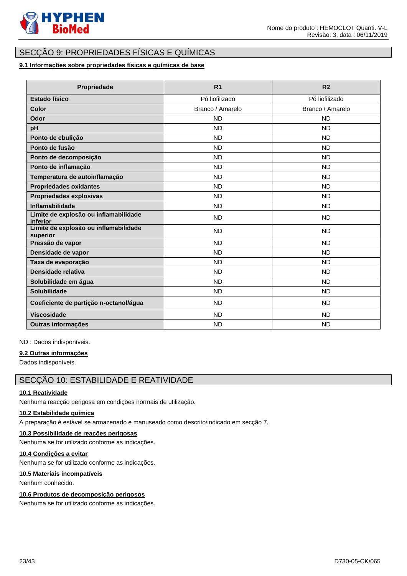

# SECÇÃO 9: PROPRIEDADES FÍSICAS E QUÍMICAS

### **9.1 Informações sobre propriedades físicas e químicas de base**

| Propriedade                                       | R <sub>1</sub>   | R <sub>2</sub>   |
|---------------------------------------------------|------------------|------------------|
| <b>Estado físico</b>                              | Pó liofilizado   | Pó liofilizado   |
| Color                                             | Branco / Amarelo | Branco / Amarelo |
| Odor                                              | <b>ND</b>        | <b>ND</b>        |
| pH                                                | <b>ND</b>        | ND               |
| Ponto de ebulição                                 | <b>ND</b>        | ND               |
| Ponto de fusão                                    | <b>ND</b>        | ND               |
| Ponto de decomposição                             | <b>ND</b>        | <b>ND</b>        |
| Ponto de inflamação                               | <b>ND</b>        | ND               |
| Temperatura de autoinflamação                     | <b>ND</b>        | <b>ND</b>        |
| <b>Propriedades oxidantes</b>                     | <b>ND</b>        | <b>ND</b>        |
| Propriedades explosivas                           | <b>ND</b>        | <b>ND</b>        |
| Inflamabilidade                                   | <b>ND</b>        | <b>ND</b>        |
| Limite de explosão ou inflamabilidade<br>inferior | <b>ND</b>        | ND.              |
| Limite de explosão ou inflamabilidade<br>superior | <b>ND</b>        | <b>ND</b>        |
| Pressão de vapor                                  | <b>ND</b>        | <b>ND</b>        |
| Densidade de vapor                                | <b>ND</b>        | <b>ND</b>        |
| Taxa de evaporação                                | <b>ND</b>        | <b>ND</b>        |
| Densidade relativa                                | <b>ND</b>        | <b>ND</b>        |
| Solubilidade em água                              | <b>ND</b>        | <b>ND</b>        |
| Solubilidade                                      | <b>ND</b>        | <b>ND</b>        |
| Coeficiente de partição n-octanol/água            | <b>ND</b>        | <b>ND</b>        |
| <b>Viscosidade</b>                                | <b>ND</b>        | <b>ND</b>        |
| Outras informações                                | <b>ND</b>        | <b>ND</b>        |

ND : Dados indisponíveis.

#### **9.2 Outras informações**

Dados indisponíveis.

### SECÇÃO 10: ESTABILIDADE E REATIVIDADE

### **10.1 Reatividade**

Nenhuma reacção perigosa em condições normais de utilização.

### **10.2 Estabilidade química**

A preparação é estável se armazenado e manuseado como descrito/indicado em secção 7.

### **10.3 Possibilidade de reações perigosas**

Nenhuma se for utilizado conforme as indicações.

### **10.4 Condições a evitar**

Nenhuma se for utilizado conforme as indicações.

### **10.5 Materiais incompatíveis**

Nenhum conhecido.

### **10.6 Produtos de decomposição perigosos**

Nenhuma se for utilizado conforme as indicações.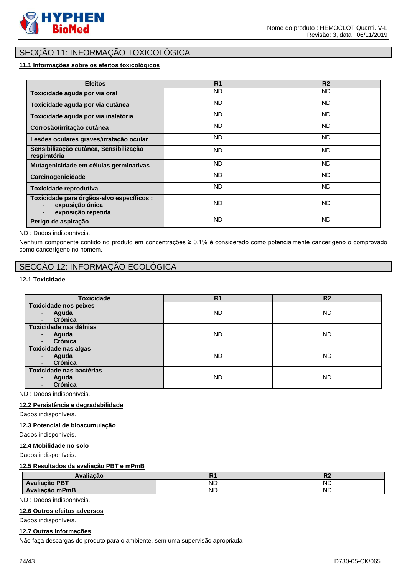

# SECÇÃO 11: INFORMAÇÃO TOXICOLÓGICA

### **11.1 Informações sobre os efeitos toxicológicos**

| <b>Efeitos</b>                                                                     | R <sub>1</sub> | R <sub>2</sub> |
|------------------------------------------------------------------------------------|----------------|----------------|
| Toxicidade aguda por via oral                                                      | ND.            | ND.            |
| Toxicidade aguda por via cutânea                                                   | ND.            | ND.            |
| Toxicidade aguda por via inalatória                                                | ND.            | ND.            |
| Corrosão/irritação cutânea                                                         | ND.            | ND.            |
| Lesões oculares graves/irratação ocular                                            | ND.            | ND.            |
| Sensibilização cutânea, Sensibilização<br>respiratória                             | ND.            | ND.            |
| Mutagenicidade em células germinativas                                             | <b>ND</b>      | ND.            |
| Carcinogenicidade                                                                  | <b>ND</b>      | ND.            |
| Toxicidade reprodutiva                                                             | <b>ND</b>      | ND.            |
| Toxicidade para órgãos-alvo específicos :<br>exposição única<br>exposição repetida | <b>ND</b>      | ND.            |
| Perigo de aspiração                                                                | <b>ND</b>      | <b>ND</b>      |

#### ND : Dados indisponíveis.

Nenhum componente contido no produto em concentrações ≥ 0,1% é considerado como potencialmente cancerígeno o comprovado como cancerígeno no homem.

# SECÇÃO 12: INFORMAÇÃO ECOLÓGICA

#### **12.1 Toxicidade**

| <b>Toxicidade</b>            | R <sub>1</sub> | R <sub>2</sub> |
|------------------------------|----------------|----------------|
| <b>Toxicidade nos peixes</b> |                |                |
| Aguda                        | <b>ND</b>      | <b>ND</b>      |
| Crónica                      |                |                |
| Toxicidade nas dáfnias       |                |                |
| Aguda<br>٠                   | <b>ND</b>      | <b>ND</b>      |
| Crónica                      |                |                |
| <b>Toxicidade nas algas</b>  |                |                |
| Aguda                        | <b>ND</b>      | <b>ND</b>      |
| Crónica                      |                |                |
| Toxicidade nas bactérias     |                |                |
| Aguda                        | <b>ND</b>      | <b>ND</b>      |
| Crónica                      |                |                |

ND : Dados indisponíveis.

#### **12.2 Persistência e degradabilidade**

Dados indisponíveis.

#### **12.3 Potencial de bioacumulação**

Dados indisponíveis.

#### **12.4 Mobilidade no solo**

Dados indisponíveis.

#### **12.5 Resultados da avaliação PBT e mPmB**

| <b>Avaliacão</b> |           | IV        |
|------------------|-----------|-----------|
| Avaliação PBT    | ND        | <b>NL</b> |
| Avaliação mPmB   | <b>ND</b> | <b>ND</b> |

ND : Dados indisponíveis.

#### **12.6 Outros efeitos adversos**

Dados indisponíveis.

#### **12.7 Outras informações**

Não faça descargas do produto para o ambiente, sem uma supervisão apropriada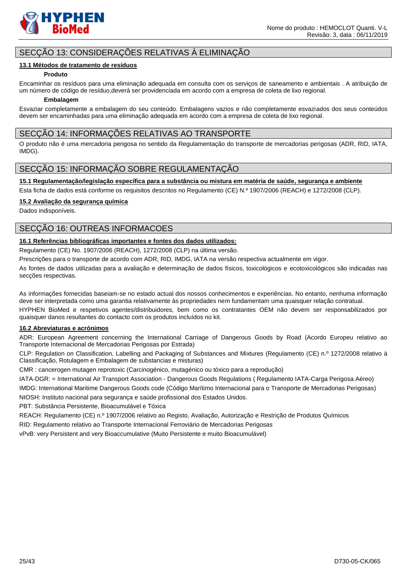

### SECÇÃO 13: CONSIDERAÇÕES RELATIVAS À ELIMINAÇÃO

#### **13.1 Métodos de tratamento de resíduos**

#### **Produto**

Encaminhar os resíduos para uma eliminação adequada em consulta com os serviços de saneamento e ambientais . A atribuição de um número de código de resíduo,deverá ser providenciada em acordo com a empresa de coleta de lixo regional.

#### **Embalagem**

Esvaziar completamente a embalagem do seu conteúdo. Embalagens vazios e não completamente esvaziados dos seus conteúdos devem ser encaminhadas para uma eliminação adequada em acordo com a empresa de coleta de lixo regional.

### SECÇÃO 14: INFORMAÇÕES RELATIVAS AO TRANSPORTE

O produto não é uma mercadoria perigosa no sentido da Regulamentação do transporte de mercadorias perigosas (ADR, RID, IATA, IMDG).

### SECÇÃO 15: INFORMAÇÃO SOBRE REGULAMENTAÇÃO

**15.1 Regulamentação/legislação específica para a substância ou mistura em matéria de saúde, segurança e ambiente**

Esta ficha de dados está conforme os requisitos descritos no Regulamento (CE) N.º 1907/2006 (REACH) e 1272/2008 (CLP).

#### **15.2 Avaliação da segurança química**

Dados indisponíveis.

### SECÇÃO 16: OUTREAS INFORMACOES

### **16.1 Referências bibliográficas importantes e fontes dos dados utilizados:**

Regulamento (CE) No. 1907/2006 (REACH), 1272/2008 (CLP) na última versão.

Prescrições para o transporte de acordo com ADR, RID, IMDG, IATA na versão respectiva actualmente em vigor.

As fontes de dados utilizadas para a avaliação e determinação de dados físicos, toxicológicos e ecotoxicológicos são indicadas nas secções respectivas.

As informações fornecidas baseiam-se no estado actual dos nossos conhecimentos e experiências. No entanto, nenhuma informação deve ser interpretada como uma garantia relativamente às propriedades nem fundamentam uma quaisquer relação contratual.

HYPHEN BioMed e respetivos agentes/distribuidores, bem como os contratantes OEM não devem ser responsabilizados por quaisquer danos resultantes do contacto com os produtos incluídos no kit.

#### **16.2 Abreviaturas e acrónimos**

ADR: European Agreement concerning the International Carriage of Dangerous Goods by Road (Acordo Europeu relativo ao Transporte Internacional de Mercadorias Perigosas por Estrada)

CLP: Regulation on Classification, Labelling and Packaging of Substances and Mixtures (Regulamento (CE) n.º 1272/2008 relativo à Classificação, Rotulagem e Embalagem de substancias e misturas)

CMR : cancerogen mutagen reprotoxic (Carcinogénico, mutagénico ou tóxico para a reprodução)

IATA-DGR: = International Air Transport Association - Dangerous Goods Regulations ( Regulamento IATA-Carga Perigosa Aéreo)

IMDG: International Maritime Dangerous Goods code (Código Marítimo Internacional para o Transporte de Mercadorias Perigosas) NIOSH: Instituto nacional para segurança e saúde profissional dos Estados Unidos.

PBT: Substância Persistente, Bioacumulável e Tóxica

REACH: Regulamento (CE) n.º 1907/2006 relativo ao Registo, Avaliação, Autorização e Restrição de Produtos Químicos

RID: Regulamento relativo ao Transporte Internacional Ferroviário de Mercadorias Perigosas

vPvB: very Persistent and very Bioaccumulative (Muito Persistente e muito Bioacumulável)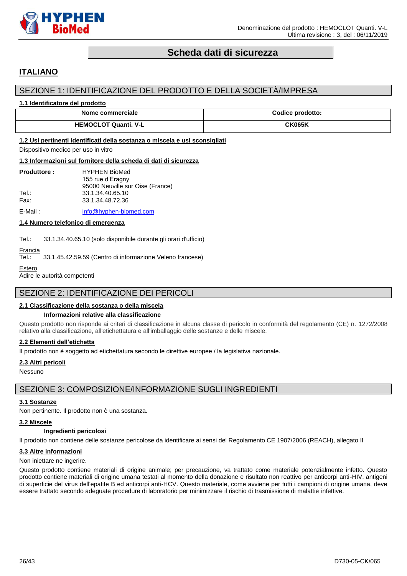

# **Scheda dati di sicurezza**

# <span id="page-25-0"></span>**ITALIANO**

### SEZIONE 1: IDENTIFICAZIONE DEL PRODOTTO E DELLA SOCIETÀ/IMPRESA

#### **1.1 Identificatore del prodotto**

| Nome commerciale            | Codice prodotto: |
|-----------------------------|------------------|
| <b>HEMOCLOT Quanti, V-L</b> | <b>CK065K</b>    |

#### **1.2 Usi pertinenti identificati della sostanza o miscela e usi sconsigliati**

Dispositivo medico per uso in vitro

#### **1.3 Informazioni sul fornitore della scheda di dati di sicurezza**

| <b>Produttore:</b> | <b>HYPHEN BioMed</b>             |
|--------------------|----------------------------------|
|                    | 155 rue d'Eragny                 |
|                    | 95000 Neuville sur Oise (France) |
| Tel∴               | 33.1.34.40.65.10                 |
| Fax:               | 33.1.34.48.72.36                 |
|                    |                                  |

E-Mail: [info@hyphen-biomed.com](mailto:info@hyphen-biomed.com)

#### **1.4 Numero telefonico di emergenza**

Tel.: 33.1.34.40.65.10 (solo disponibile durante gli orari d'ufficio)

# Francia<br>Tel.:

33.1.45.42.59.59 (Centro di informazione Veleno francese)

```
Estero
```
Adire le autorità competenti

### SEZIONE 2: IDENTIFICAZIONE DEI PERICOLI

#### **2.1 Classificazione della sostanza o della miscela**

#### **Informazioni relative alla classificazione**

Questo prodotto non risponde ai criteri di classificazione in alcuna classe di pericolo in conformità del regolamento (CE) n. 1272/2008 relativo alla classificazione, all'etichettatura e all'imballaggio delle sostanze e delle miscele.

#### **2.2 Elementi dell'etichetta**

Il prodotto non è soggetto ad etichettatura secondo le direttive europee / la legislativa nazionale.

#### **2.3 Altri pericoli**

Nessuno

### SEZIONE 3: COMPOSIZIONE/INFORMAZIONE SUGLI INGREDIENTI

#### **3.1 Sostanze**

Non pertinente. Il prodotto non è una sostanza.

#### **3.2 Miscele**

### **Ingredienti pericolosi**

Il prodotto non contiene delle sostanze pericolose da identificare ai sensi del Regolamento CE 1907/2006 (REACH), allegato II

#### **3.3 Altre informazioni**

#### Non iniettare ne ingerire.

Questo prodotto contiene materiali di origine animale; per precauzione, va trattato come materiale potenzialmente infetto. Questo prodotto contiene materiali di origine umana testati al momento della donazione e risultato non reattivo per anticorpi anti-HIV, antigeni di superficie del virus dell'epatite B ed anticorpi anti-HCV. Questo materiale, come avviene per tutti i campioni di origine umana, deve essere trattato secondo adeguate procedure di laboratorio per minimizzare il rischio di trasmissione di malattie infettive.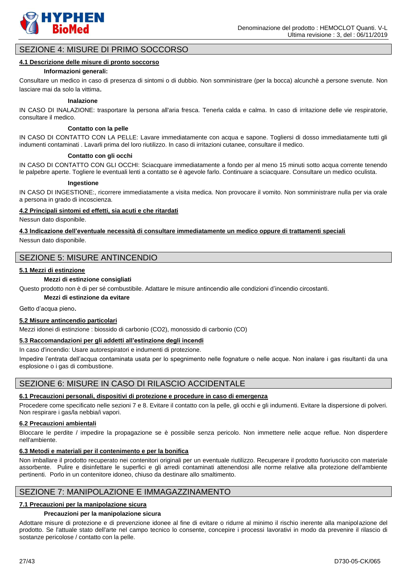

### SEZIONE 4: MISURE DI PRIMO SOCCORSO

#### **4.1 Descrizione delle misure di pronto soccorso**

#### **Informazioni generali:**

Consultare un medico in caso di presenza di sintomi o di dubbio. Non somministrare (per la bocca) alcunchè a persone svenute. Non lasciare mai da solo la vittima.

#### **Inalazione**

IN CASO DI INALAZIONE: trasportare la persona all'aria fresca. Tenerla calda e calma. In caso di irritazione delle vie respiratorie, consultare il medico.

#### **Contatto con la pelle**

IN CASO DI CONTATTO CON LA PELLE: Lavare immediatamente con acqua e sapone. Togliersi di dosso immediatamente tutti gli indumenti contaminati . Lavarli prima del loro riutilizzo. In caso di irritazioni cutanee, consultare il medico.

#### **Contatto con gli occhi**

IN CASO DI CONTATTO CON GLI OCCHI: Sciacquare immediatamente a fondo per al meno 15 minuti sotto acqua corrente tenendo le palpebre aperte. Togliere le eventuali lenti a contatto se è agevole farlo. Continuare a sciacquare. Consultare un medico oculista.

#### **Ingestione**

IN CASO DI INGESTIONE:, ricorrere immediatamente a visita medica. Non provocare il vomito. Non somministrare nulla per via orale a persona in grado di incoscienza.

#### **4.2 Principali sintomi ed effetti, sia acuti e che ritardati**

Nessun dato disponibile.

**4.3 Indicazione dell'eventuale necessità di consultare immediatamente un medico oppure di trattamenti speciali** Nessun dato disponibile.

# SEZIONE 5: MISURE ANTINCENDIO

#### **5.1 Mezzi di estinzione**

#### **Mezzi di estinzione consigliati**

Questo prodotto non è di per sé combustibile. Adattare le misure antincendio alle condizioni d'incendio circostanti.

#### **Mezzi di estinzione da evitare**

Getto d'acqua pieno.

#### **5.2 Misure antincendio particolari**

Mezzi idonei di estinzione : biossido di carbonio (CO2), monossido di carbonio (CO)

#### **5.3 Raccomandazioni per gli addetti all'estinzione degli incendi**

In caso d'incendio: Usare autorespiratori e indumenti di protezione.

Impedire l'entrata dell'acqua contaminata usata per lo spegnimento nelle fognature o nelle acque. Non inalare i gas risultanti da una esplosione o i gas di combustione.

#### SEZIONE 6: MISURE IN CASO DI RILASCIO ACCIDENTALE

#### **6.1 Precauzioni personali, dispositivi di protezione e procedure in caso di emergenza**

Procedere come specificato nelle sezioni 7 e 8. Evitare il contatto con la pelle, gli occhi e gli indumenti. Evitare la dispersione di polveri. Non respirare i gas/la nebbia/i vapori.

#### **6.2 Precauzioni ambientali**

Bloccare le perdite / impedire la propagazione se è possibile senza pericolo. Non immettere nelle acque reflue. Non disperdere nell'ambiente.

#### **6.3 Metodi e materiali per il contenimento e per la bonifica**

Non imballare il prodotto recuperato nei contenitori originali per un eventuale riutilizzo. Recuperare il prodotto fuoriuscito con materiale assorbente. Pulire e disinfettare le superfici e gli arredi contaminati attenendosi alle norme relative alla protezione dell'ambiente pertinenti. Porlo in un contenitore idoneo, chiuso da destinare allo smaltimento.

### SEZIONE 7: MANIPOLAZIONE E IMMAGAZZINAMENTO

#### **7.1 Precauzioni per la manipolazione sicura**

#### **Precauzioni per la manipolazione sicura**

Adottare misure di protezione e di prevenzione idonee al fine di evitare o ridurre al minimo il rischio inerente alla manipolazione del prodotto. Se l'attuale stato dell'arte nel campo tecnico lo consente, concepire i processi lavorativi in modo da prevenire il rilascio di sostanze pericolose / contatto con la pelle.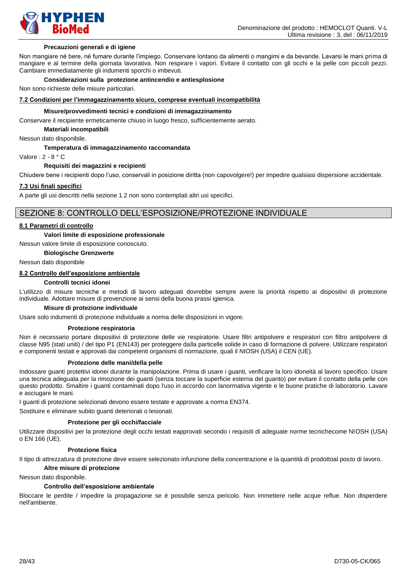

#### **Precauzioni generali e di igiene**

Non mangiare né bere, né fumare durante l'impiego. Conservare lontano da alimenti o mangimi e da bevande. Lavarsi le mani prima di mangiare e al termine della giornata lavorativa. Non respirare i vapori. Evitare il contatto con gli occhi e la pelle con piccoli pezzi. Cambiare immediatamente gli indumenti sporchi o imbevuti.

#### **Considerazioni sulla protezione antincendio e antiesplosione**

Non sono richieste delle misure particolari.

#### **7.2 Condizioni per l'immagazzinamento sicuro, comprese eventuali incompatibilità**

#### **Misure/provvedimenti tecnici e condizioni di immagazzinamento**

Conservare il recipiente ermeticamente chiuso in luogo fresco, sufficientemente aerato.

**Materiali incompatibili**

Nessun dato disponibile.

#### **Temperatura di immagazzinamento raccomandata**

Valore : 2 - 8 ° C

#### **Requisiti dei magazzini e recipienti**

Chiudere bene i recipienti dopo l'uso, conservali in posizione diritta (non capovolgere!) per impedire qualsiasi dispersione accidentale.

#### **7.3 Usi finali specifici**

A parte gli usi descritti nella sezione 1.2 non sono contemplati altri usi specifici.

### SEZIONE 8: CONTROLLO DELL'ESPOSIZIONE/PROTEZIONE INDIVIDUALE

#### **8.1 Parametri di controllo**

#### **Valori limite di esposizione professionale**

Nessun valore limite di esposizione conosciuto.

#### **Biologische Grenzwerte**

Nessun dato disponibile

### **8.2 Controllo dell'esposizione ambientale**

#### **Controlli tecnici idonei**

L'utilizzo di misure tecniche e metodi di lavoro adeguati dovrebbe sempre avere la priorità rispetto ai dispositivi di protezione individuale. Adottare misure di prevenzione ai sensi della buona prassi igienica.

#### **Misure di protezione individuale**

Usare solo indumenti di protezione individuale a norma delle disposizioni in vigore.

#### **Protezione respiratoria**

Non è necessario portare dispositivi di protezione delle vie respiratorie. Usare filtri antipolvere e respiratori con filtro antipolvere di classe N95 (stati uniti) / del tipo P1 (EN143) per proteggere dalla particelle solide in caso di formazione di polvere. Utilizzare respiratori e componenti testati e approvati dai competenti organismi di normazione, quali il NIOSH (USA) il CEN (UE).

#### **Protezione delle mani/della pelle**

Indossare guanti protettivi idonei durante la manipolazione. Prima di usare i guanti, verificare la loro idoneità al lavoro specifico. Usare una tecnica adeguata per la rimozione dei guanti (senza toccare la superficie esterna del guanto) per evitare il contatto della pelle con questo prodotto. Smaltire i guanti contaminati dopo l'uso in accordo con lanormativa vigente e le buone pratiche di laboratorio. Lavare e asciugare le mani.

I guanti di protezione selezionati devono essere testate e approvate a norma EN374.

Sostituire e eliminare subito guanti deteriorati o lesionati.

#### **Protezione per gli occhi/facciale**

Utilizzare dispositivi per la protezione degli occhi testati eapprovati secondo i requisiti di adeguate norme tecnichecome NIOSH (USA) o EN 166 (UE).

#### **Protezione fisica**

Il tipo di attrezzatura di protezione deve essere selezionato infunzione della concentrazione e la quantità di prodottoal posto di lavoro.

#### **Altre misure di protezione**

#### Nessun dato disponibile.

#### **Controllo dell'esposizione ambientale**

Bloccare le perdite / impedire la propagazione se è possibile senza pericolo. Non immettere nelle acque reflue. Non disperdere nell'ambiente.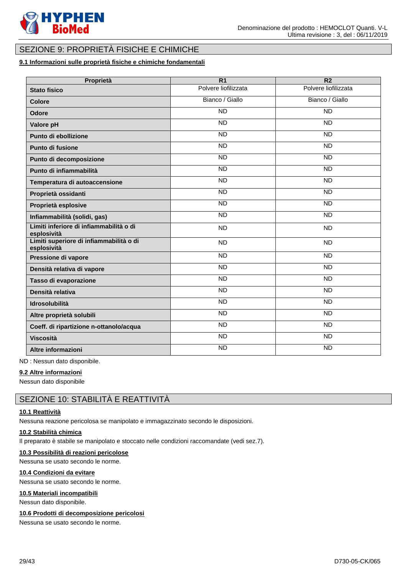

# SEZIONE 9: PROPRIETÀ FISICHE E CHIMICHE

### **9.1 Informazioni sulle proprietà fisiche e chimiche fondamentali**

| Proprietà                                              | $\overline{R1}$      | $\overline{R2}$      |
|--------------------------------------------------------|----------------------|----------------------|
| <b>Stato fisico</b>                                    | Polvere liofilizzata | Polvere liofilizzata |
| Colore                                                 | Bianco / Giallo      | Bianco / Giallo      |
| Odore                                                  | <b>ND</b>            | <b>ND</b>            |
| Valore pH                                              | <b>ND</b>            | <b>ND</b>            |
| Punto di ebollizione                                   | <b>ND</b>            | <b>ND</b>            |
| Punto di fusione                                       | $\overline{ND}$      | $\overline{ND}$      |
| Punto di decomposizione                                | $\overline{ND}$      | $\overline{ND}$      |
| Punto di infiammabilità                                | <b>ND</b>            | <b>ND</b>            |
| Temperatura di autoaccensione                          | <b>ND</b>            | <b>ND</b>            |
| Proprietà ossidanti                                    | <b>ND</b>            | $\overline{ND}$      |
| Proprietà esplosive                                    | <b>ND</b>            | $\overline{ND}$      |
| Infiammabilità (solidi, gas)                           | <b>ND</b>            | <b>ND</b>            |
| Limiti inferiore di infiammabilità o di<br>esplosività | <b>ND</b>            | <b>ND</b>            |
| Limiti superiore di infiammabilità o di<br>esplosività | <b>ND</b>            | <b>ND</b>            |
| Pressione di vapore                                    | <b>ND</b>            | <b>ND</b>            |
| Densità relativa di vapore                             | <b>ND</b>            | <b>ND</b>            |
| Tasso di evaporazione                                  | $\overline{ND}$      | <b>ND</b>            |
| Densità relativa                                       | $\overline{ND}$      | $\overline{ND}$      |
| <b>Idrosolubilità</b>                                  | <b>ND</b>            | <b>ND</b>            |
| Altre proprietà solubili                               | <b>ND</b>            | <b>ND</b>            |
| Coeff. di ripartizione n-ottanolo/acqua                | <b>ND</b>            | <b>ND</b>            |
| <b>Viscosità</b>                                       | <b>ND</b>            | <b>ND</b>            |
| Altre informazioni                                     | <b>ND</b>            | <b>ND</b>            |

ND : Nessun dato disponibile.

#### **9.2 Altre informazioni**

Nessun dato disponibile

## SEZIONE 10: STABILITÀ E REATTIVITÀ

### **10.1 Reattività**

Nessuna reazione pericolosa se manipolato e immagazzinato secondo le disposizioni.

#### **10.2 Stabilità chimica**

Il preparato è stabile se manipolato e stoccato nelle condizioni raccomandate (vedi sez.7).

#### **10.3 Possibilità di reazioni pericolose**

Nessuna se usato secondo le norme.

#### **10.4 Condizioni da evitare**

Nessuna se usato secondo le norme.

#### **10.5 Materiali incompatibili**

Nessun dato disponibile.

#### **10.6 Prodotti di decomposizione pericolosi**

Nessuna se usato secondo le norme.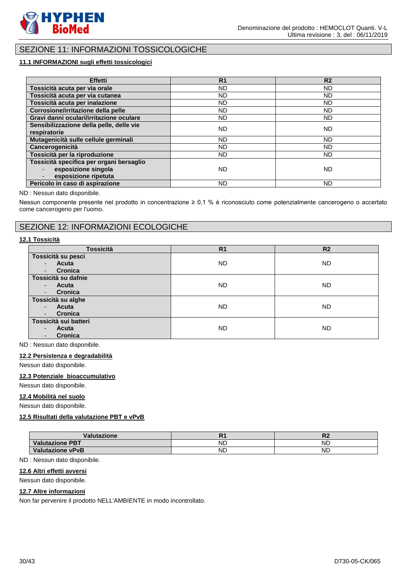

# SEZIONE 11: INFORMAZIONI TOSSICOLOGICHE

### **11.1 INFORMAZIONI sugli effetti tossicologici**

| <b>Effetti</b>                                                                          | R <sub>1</sub> | R <sub>2</sub> |
|-----------------------------------------------------------------------------------------|----------------|----------------|
| Tossicità acuta per via orale                                                           | ND.            | ND             |
| Tossicità acuta per via cutanea                                                         | ND             | <b>ND</b>      |
| Tossicità acuta per inalazione                                                          | ND.            | <b>ND</b>      |
| Corrosione/irritazione della pelle                                                      | ND.            | ND             |
| Gravi danni oculari/irritazione oculare                                                 | ND.            | ND.            |
| Sensibilizzazione della pelle, delle vie<br>respiratorie                                | ND.            | <b>ND</b>      |
| Mutagenicità sulle cellule germinali                                                    | ND.            | <b>ND</b>      |
| Cancerogenicità                                                                         | ND.            | <b>ND</b>      |
| Tossicità per la riproduzione                                                           | ND.            | ND.            |
| Tossicità specifica per organi bersaglio<br>esposizione singola<br>esposizione ripetuta | ND.            | <b>ND</b>      |
| Pericolo in caso di aspirazione                                                         | <b>ND</b>      | <b>ND</b>      |

#### ND : Nessun dato disponibile.

Nessun componente presente nel prodotto in concentrazione ≥ 0,1 % è riconosciuto come potenzialmente cancerogeno o accertato come cancerogeno per l'uomo.

### SEZIONE 12: INFORMAZIONI ECOLOGICHE

#### **12.1 Tossicità**

| <b>Tossicità</b>                    | R <sub>1</sub> | R <sub>2</sub> |
|-------------------------------------|----------------|----------------|
| Tossicità su pesci                  |                |                |
| <b>Acuta</b><br>$\sim$              | ND.            | ND.            |
| Cronica<br>٠                        |                |                |
| Tossicità su dafnie                 |                |                |
| <b>Acuta</b><br>$\sim$              | ND.            | <b>ND</b>      |
| Cronica<br>$\overline{\phantom{a}}$ |                |                |
| Tossicità su alghe                  |                |                |
| Acuta<br>$\sim$                     | ND.            | <b>ND</b>      |
| Cronica<br>$\overline{\phantom{a}}$ |                |                |
| Tossicità sui batteri               |                |                |
| Acuta<br>$\overline{\phantom{0}}$   | ND.            | <b>ND</b>      |
| Cronica                             |                |                |

ND : Nessun dato disponibile.

#### **12.2 Persistenza e degradabilità**

Nessun dato disponibile.

#### **12.3 Potenziale bioaccumulativo**

Nessun dato disponibile.

#### **12.4 Mobilità nel suolo**

Nessun dato disponibile.

### **12.5 Risultati della valutazione PBT e vPvB**

| /alutazione             |           | w         |
|-------------------------|-----------|-----------|
| <b>Valutazione PBT</b>  | <b>ND</b> | <b>ND</b> |
| <b>Valutazione vPvB</b> | <b>ND</b> | <b>ND</b> |

ND : Nessun dato disponibile.

#### **12.6 Altri effetti avversi**

Nessun dato disponibile.

#### **12.7 Altre informazioni**

Non far pervenire il prodotto NELL'AMBIENTE in modo incontrollato.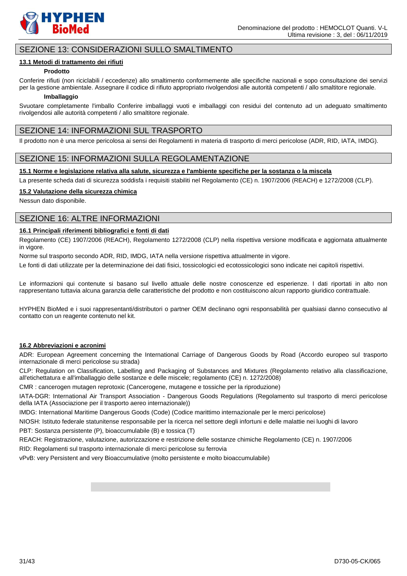

### SEZIONE 13: CONSIDERAZIONI SULLO SMALTIMENTO

#### **13.1 Metodi di trattamento dei rifiuti**

#### **Prodotto**

Conferire rifiuti (non riciclabili / eccedenze) allo smaltimento conformemente alle specifiche nazionali e sopo consultazione dei servizi per la gestione ambientale. Assegnare il codice di rifiuto appropriato rivolgendosi alle autorità competenti / allo smaltitore regionale.

#### **Imballaggio**

Svuotare completamente l'imballo Conferire imballaggi vuoti e imballaggi con residui del contenuto ad un adeguato smaltimento rivolgendosi alle autorità competenti / allo smaltitore regionale.

### SEZIONE 14: INFORMAZIONI SUL TRASPORTO

Il prodotto non è una merce pericolosa ai sensi dei Regolamenti in materia di trasporto di merci pericolose (ADR, RID, IATA, IMDG).

### SEZIONE 15: INFORMAZIONI SULLA REGOLAMENTAZIONE

#### **15.1 Norme e legislazione relativa alla salute, sicurezza e l'ambiente specifiche per la sostanza o la miscela**

La presente scheda dati di sicurezza soddisfa i requisiti stabiliti nel Regolamento (CE) n. 1907/2006 (REACH) e 1272/2008 (CLP).

#### **15.2 Valutazione della sicurezza chimica**

Nessun dato disponibile.

### SEZIONE 16: ALTRE INFORMAZIONI

### **16.1 Principali riferimenti bibliografici e fonti di dati**

Regolamento (CE) 1907/2006 (REACH), Regolamento 1272/2008 (CLP) nella rispettiva versione modificata e aggiornata attualmente in vigore.

Norme sul trasporto secondo ADR, RID, IMDG, IATA nella versione rispettiva attualmente in vigore.

Le fonti di dati utilizzate per la determinazione dei dati fisici, tossicologici ed ecotossicologici sono indicate nei capitoli rispettivi.

Le informazioni qui contenute si basano sul livello attuale delle nostre conoscenze ed esperienze. I dati riportati in alto non rappresentano tuttavia alcuna garanzia delle caratteristiche del prodotto e non costituiscono alcun rapporto giuridico contrattuale.

HYPHEN BioMed e i suoi rappresentanti/distributori o partner OEM declinano ogni responsabilità per qualsiasi danno consecutivo al contatto con un reagente contenuto nel kit.

#### **16.2 Abbreviazioni e acronimi**

ADR: European Agreement concerning the International Carriage of Dangerous Goods by Road (Accordo europeo sul trasporto internazionale di merci pericolose su strada)

CLP: Regulation on Classification, Labelling and Packaging of Substances and Mixtures (Regolamento relativo alla classificazione, all'etichettatura e all'imballaggio delle sostanze e delle miscele; regolamento (CE) n. 1272/2008)

CMR : cancerogen mutagen reprotoxic (Cancerogene, mutagene e tossiche per la riproduzione)

IATA-DGR: International Air Transport Association - Dangerous Goods Regulations (Regolamento sul trasporto di merci pericolose della IATA (Associazione per il trasporto aereo internazionale))

IMDG: International Maritime Dangerous Goods (Code) (Codice marittimo internazionale per le merci pericolose)

NIOSH: Istituto federale statunitense responsabile per la ricerca nel settore degli infortuni e delle malattie nei luoghi di lavoro

PBT: Sostanza persistente (P), bioaccumulabile (B) e tossica (T)

REACH: Registrazione, valutazione, autorizzazione e restrizione delle sostanze chimiche Regolamento (CE) n. 1907/2006

RID: Regolamenti sul trasporto internazionale di merci pericolose su ferrovia

vPvB: very Persistent and very Bioaccumulative (molto persistente e molto bioaccumulabile)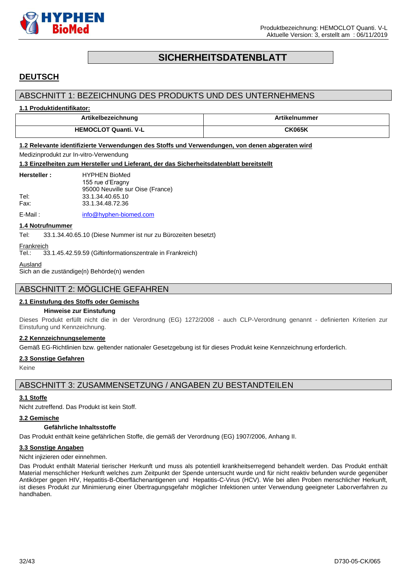

# **SICHERHEITSDATENBLATT**

# <span id="page-31-0"></span>**DEUTSCH**

### ABSCHNITT 1: BEZEICHNUNG DES PRODUKTS UND DES UNTERNEHMENS

#### **1.1 Produktidentifikator:**

| <b>Artikelbezeichnung</b>   | elnummer                                 |
|-----------------------------|------------------------------------------|
| <b>HEMOCLOT Quanti, V-L</b> | ${\mathsf C}{\mathsf K}{\mathsf {065K}}$ |

# **1.2 Relevante identifizierte Verwendungen des Stoffs und Verwendungen, von denen abgeraten wird**

### Medizinprodukt zur In-vitro-Verwendung

**1.3 Einzelheiten zum Hersteller und Lieferant, der das Sicherheitsdatenblatt bereitstellt**

| Hersteller: | <b>HYPHEN BioMed</b>             |
|-------------|----------------------------------|
|             | 155 rue d'Eragny                 |
|             | 95000 Neuville sur Oise (France) |
| Tel:        | 33.1.34.40.65.10                 |
| Fax:        | 33.1.34.48.72.36                 |
|             |                                  |

E-Mail: [info@hyphen-biomed.com](mailto:info@hyphen-biomed.com)

#### **1.4 Notrufnummer**

Tel: 33.1.34.40.65.10 (Diese Nummer ist nur zu Bürozeiten besetzt)

Frankreich

Tel.: 33.1.45.42.59.59 (Giftinformationszentrale in Frankreich)

Ausland

Sich an die zuständige(n) Behörde(n) wenden

### ABSCHNITT 2: MÖGLICHE GEFAHREN

#### **2.1 Einstufung des Stoffs oder Gemischs**

#### **Hinweise zur Einstufung**

Dieses Produkt erfüllt nicht die in der Verordnung (EG) 1272/2008 - auch CLP-Verordnung genannt - definierten Kriterien zur Einstufung und Kennzeichnung.

#### **2.2 Kennzeichnungselemente**

Gemäß EG-Richtlinien bzw. geltender nationaler Gesetzgebung ist für dieses Produkt keine Kennzeichnung erforderlich.

#### **2.3 Sonstige Gefahren**

Keine

### ABSCHNITT 3: ZUSAMMENSETZUNG / ANGABEN ZU BESTANDTEILEN

#### **3.1 Stoffe**

Nicht zutreffend. Das Produkt ist kein Stoff.

#### **3.2 Gemische**

#### **Gefährliche Inhaltsstoffe**

Das Produkt enthält keine gefährlichen Stoffe, die gemäß der Verordnung (EG) 1907/2006, Anhang II.

#### **3.3 Sonstige Angaben**

Nicht injizieren oder einnehmen.

Das Produkt enthält Material tierischer Herkunft und muss als potentiell krankheitserregend behandelt werden. Das Produkt enthält Material menschlicher Herkunft welches zum Zeitpunkt der Spende untersucht wurde und für nicht reaktiv befunden wurde gegenüber Antikörper gegen HIV, Hepatitis-B-Oberflächenantigenen und Hepatitis-C-Virus (HCV). Wie bei allen Proben menschlicher Herkunft, ist dieses Produkt zur Minimierung einer Übertragungsgefahr möglicher Infektionen unter Verwendung geeigneter Laborverfahren zu handhaben.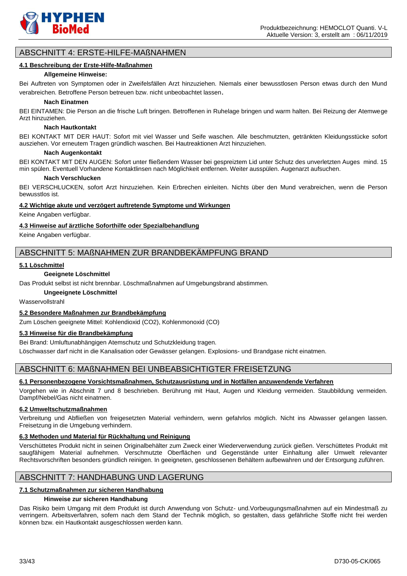

### ABSCHNITT 4: ERSTE-HILFE-MAßNAHMEN

#### **4.1 Beschreibung der Erste-Hilfe-Maßnahmen**

#### **Allgemeine Hinweise:**

Bei Auftreten von Symptomen oder in Zweifelsfällen Arzt hinzuziehen. Niemals einer bewusstlosen Person etwas durch den Mund verabreichen. Betroffene Person betreuen bzw. nicht unbeobachtet lassen.

#### **Nach Einatmen**

BEI EINTAMEN: Die Person an die frische Luft bringen. Betroffenen in Ruhelage bringen und warm halten. Bei Reizung der Atemwege Arzt hinzuziehen.

#### **Nach Hautkontakt**

BEI KONTAKT MIT DER HAUT: Sofort mit viel Wasser und Seife waschen. Alle beschmutzten, getränkten Kleidungsstücke sofort ausziehen. Vor erneutem Tragen gründlich waschen. Bei Hautreaktionen Arzt hinzuziehen.

#### **Nach Augenkontakt**

BEI KONTAKT MIT DEN AUGEN: Sofort unter fließendem Wasser bei gespreiztem Lid unter Schutz des unverletzten Auges mind. 15 min spülen. Eventuell Vorhandene Kontaktlinsen nach Möglichkeit entfernen. Weiter ausspülen. Augenarzt aufsuchen.

#### **Nach Verschlucken**

BEI VERSCHLUCKEN, sofort Arzt hinzuziehen. Kein Erbrechen einleiten. Nichts über den Mund verabreichen, wenn die Person bewusstlos ist.

#### **4.2 Wichtige akute und verzögert auftretende Symptome und Wirkungen**

Keine Angaben verfügbar.

#### **4.3 Hinweise auf ärztliche Soforthilfe oder Spezialbehandlung**

Keine Angaben verfügbar.

### ABSCHNITT 5: MAßNAHMEN ZUR BRANDBEKÄMPFUNG BRAND

#### **5.1 Löschmittel**

#### **Geeignete Löschmittel**

Das Produkt selbst ist nicht brennbar. Löschmaßnahmen auf Umgebungsbrand abstimmen.

#### **Ungeeignete Löschmittel**

Wasservollstrahl

#### **5.2 Besondere Maßnahmen zur Brandbekämpfung**

Zum Löschen geeignete Mittel: Kohlendioxid (CO2), Kohlenmonoxid (CO)

#### **5.3 Hinweise für die Brandbekämpfung**

Bei Brand: Umluftunabhängigen Atemschutz und Schutzkleidung tragen.

Löschwasser darf nicht in die Kanalisation oder Gewässer gelangen. Explosions- und Brandgase nicht einatmen.

### ABSCHNITT 6: MAßNAHMEN BEI UNBEABSICHTIGTER FREISETZUNG

#### **6.1 Personenbezogene Vorsichtsmaßnahmen, Schutzausrüstung und in Notfällen anzuwendende Verfahren**

Vorgehen wie in Abschnitt 7 und 8 beschrieben. Berührung mit Haut, Augen und Kleidung vermeiden. Staubbildung vermeiden. Dampf/Nebel/Gas nicht einatmen.

#### **6.2 Umweltschutzmaßnahmen**

Verbreitung und Abfließen von freigesetzten Material verhindern, wenn gefahrlos möglich. Nicht ins Abwasser gelangen lassen. Freisetzung in die Umgebung verhindern.

#### **6.3 Methoden und Material für Rückhaltung und Reinigung**

Verschüttetes Produkt nicht in seinen Originalbehälter zum Zweck einer Wiederverwendung zurück gießen. Verschüttetes Produkt mit saugfähigem Material aufnehmen. Verschmutzte Oberflächen und Gegenstände unter Einhaltung aller Umwelt relevanter Rechtsvorschriften besonders gründlich reinigen. In geeigneten, geschlossenen Behältern aufbewahren und der Entsorgung zuführen.

### ABSCHNITT 7: HANDHABUNG UND LAGERUNG

#### **7.1 Schutzmaßnahmen zur sicheren Handhabung**

#### **Hinweise zur sicheren Handhabung**

Das Risiko beim Umgang mit dem Produkt ist durch Anwendung von Schutz- und.Vorbeugungsmaßnahmen auf ein Mindestmaß zu verringern. Arbeitsverfahren, sofern nach dem Stand der Technik möglich, so gestalten, dass gefährliche Stoffe nicht frei werden können bzw. ein Hautkontakt ausgeschlossen werden kann.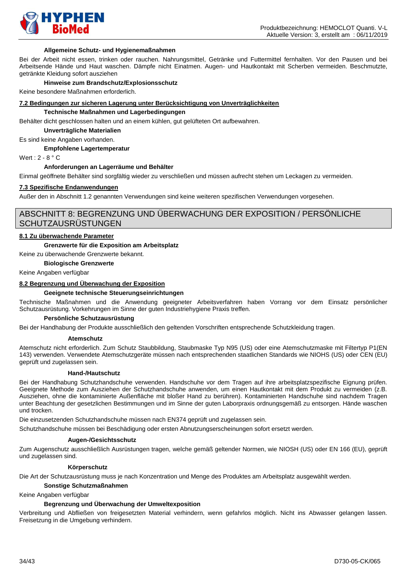

#### **Allgemeine Schutz- und Hygienemaßnahmen**

Bei der Arbeit nicht essen, trinken oder rauchen. Nahrungsmittel, Getränke und Futtermittel fernhalten. Vor den Pausen und bei Arbeitsende Hände und Haut waschen. Dämpfe nicht Einatmen. Augen- und Hautkontakt mit Scherben vermeiden. Beschmutzte, getränkte Kleidung sofort ausziehen

#### **Hinweise zum Brandschutz/Explosionsschutz**

Keine besondere Maßnahmen erforderlich.

#### **7.2 Bedingungen zur sicheren Lagerung unter Berücksichtigung von Unverträglichkeiten**

#### **Technische Maßnahmen und Lagerbedingungen**

Behälter dicht geschlossen halten und an einem kühlen, gut gelüfteten Ort aufbewahren.

**Unverträgliche Materialien**

Es sind keine Angaben vorhanden.

**Empfohlene Lagertemperatur**

Wert : 2 - 8 ° C

#### **Anforderungen an Lagerräume und Behälter**

Einmal geöffnete Behälter sind sorgfältig wieder zu verschließen und müssen aufrecht stehen um Leckagen zu vermeiden.

#### **7.3 Spezifische Endanwendungen**

Außer den in Abschnitt 1.2 genannten Verwendungen sind keine weiteren spezifischen Verwendungen vorgesehen.

### ABSCHNITT 8: BEGRENZUNG UND ÜBERWACHUNG DER EXPOSITION / PERSÖNLICHE **SCHUTZAUSRÜSTUNGEN**

#### **8.1 Zu überwachende Parameter**

#### **Grenzwerte für die Exposition am Arbeitsplatz**

Keine zu überwachende Grenzwerte bekannt.

**Biologische Grenzwerte**

Keine Angaben verfügbar

#### **8.2 Begrenzung und Überwachung der Exposition**

#### **Geeignete technische Steuerungseinrichtungen**

Technische Maßnahmen und die Anwendung geeigneter Arbeitsverfahren haben Vorrang vor dem Einsatz persönlicher Schutzausrüstung. Vorkehrungen im Sinne der guten Industriehygiene Praxis treffen.

#### **Persönliche Schutzausrüstung**

Bei der Handhabung der Produkte ausschließlich den geltenden Vorschriften entsprechende Schutzkleidung tragen.

#### **Atemschutz**

Atemschutz nicht erforderlich. Zum Schutz Staubbildung, Staubmaske Typ N95 (US) oder eine Atemschutzmaske mit Filtertyp P1(EN 143) verwenden. Verwendete Atemschutzgeräte müssen nach entsprechenden staatlichen Standards wie NIOHS (US) oder CEN (EU) geprüft und zugelassen sein.

#### **Hand-/Hautschutz**

Bei der Handhabung Schutzhandschuhe verwenden. Handschuhe vor dem Tragen auf ihre arbeitsplatzspezifische Eignung prüfen. Geeignete Methode zum Ausziehen der Schutzhandschuhe anwenden, um einen Hautkontakt mit dem Produkt zu vermeiden (z.B. Ausziehen, ohne die kontaminierte Außenfläche mit bloßer Hand zu berühren). Kontaminierten Handschuhe sind nachdem Tragen unter Beachtung der gesetzlichen Bestimmungen und im Sinne der guten Laborpraxis ordnungsgemäß zu entsorgen. Hände waschen und trocken.

Die einzusetzenden Schutzhandschuhe müssen nach EN374 geprüft und zugelassen sein.

Schutzhandschuhe müssen bei Beschädigung oder ersten Abnutzungserscheinungen sofort ersetzt werden.

#### **Augen-/Gesichtsschutz**

Zum Augenschutz ausschließlich Ausrüstungen tragen, welche gemäß geltender Normen, wie NIOSH (US) oder EN 166 (EU), geprüft und zugelassen sind.

#### **Körperschutz**

Die Art der Schutzausrüstung muss je nach Konzentration und Menge des Produktes am Arbeitsplatz ausgewählt werden.

#### **Sonstige Schutzmaßnahmen**

Keine Angaben verfügbar

#### **Begrenzung und Überwachung der Umweltexposition**

Verbreitung und Abfließen von freigesetzten Material verhindern, wenn gefahrlos möglich. Nicht ins Abwasser gelangen lassen. Freisetzung in die Umgebung verhindern.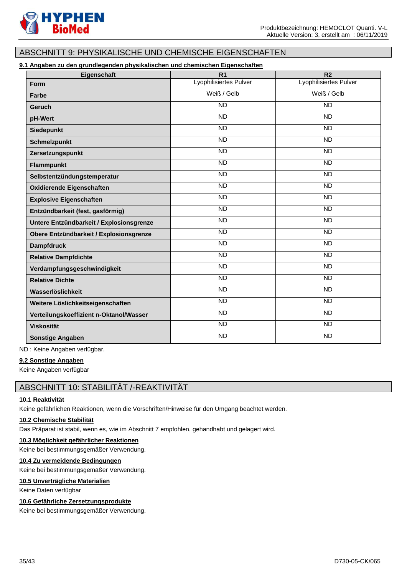

# ABSCHNITT 9: PHYSIKALISCHE UND CHEMISCHE EIGENSCHAFTEN

### **9.1 Angaben zu den grundlegenden physikalischen und chemischen Eigenschaften**

| Eigenschaft                              | $\overline{R1}$        | $\overline{R2}$        |
|------------------------------------------|------------------------|------------------------|
| Form                                     | Lyophilisiertes Pulver | Lyophilisiertes Pulver |
| Farbe                                    | Weiß / Gelb            | Weiß / Gelb            |
| Geruch                                   | <b>ND</b>              | <b>ND</b>              |
| pH-Wert                                  | $\overline{ND}$        | $\overline{ND}$        |
| Siedepunkt                               | <b>ND</b>              | <b>ND</b>              |
| <b>Schmelzpunkt</b>                      | <b>ND</b>              | <b>ND</b>              |
| Zersetzungspunkt                         | <b>ND</b>              | <b>ND</b>              |
| <b>Flammpunkt</b>                        | <b>ND</b>              | <b>ND</b>              |
| Selbstentzündungstemperatur              | <b>ND</b>              | <b>ND</b>              |
| <b>Oxidierende Eigenschaften</b>         | $\overline{ND}$        | $\overline{ND}$        |
| <b>Explosive Eigenschaften</b>           | <b>ND</b>              | <b>ND</b>              |
| Entzündbarkeit (fest, gasförmig)         | $\overline{ND}$        | $\overline{ND}$        |
| Untere Entzündbarkeit / Explosionsgrenze | <b>ND</b>              | <b>ND</b>              |
| Obere Entzündbarkeit / Explosionsgrenze  | $\overline{ND}$        | $\overline{ND}$        |
| <b>Dampfdruck</b>                        | <b>ND</b>              | $\overline{ND}$        |
| <b>Relative Dampfdichte</b>              | $\overline{ND}$        | <b>ND</b>              |
| Verdampfungsgeschwindigkeit              | $\overline{ND}$        | $\overline{ND}$        |
| <b>Relative Dichte</b>                   | <b>ND</b>              | <b>ND</b>              |
| Wasserlöslichkeit                        | <b>ND</b>              | <b>ND</b>              |
| Weitere Löslichkeitseigenschaften        | <b>ND</b>              | <b>ND</b>              |
| Verteilungskoeffizient n-Oktanol/Wasser  | <b>ND</b>              | <b>ND</b>              |
| <b>Viskosität</b>                        | $\overline{ND}$        | $\overline{ND}$        |
| <b>Sonstige Angaben</b>                  | <b>ND</b>              | <b>ND</b>              |

ND : Keine Angaben verfügbar.

#### **9.2 Sonstige Angaben**

Keine Angaben verfügbar

### ABSCHNITT 10: STABILITÄT /-REAKTIVITÄT

#### **10.1 Reaktivität**

Keine gefährlichen Reaktionen, wenn die Vorschriften/Hinweise für den Umgang beachtet werden.

#### **10.2 Chemische Stabilität**

Das Präparat ist stabil, wenn es, wie im Abschnitt 7 empfohlen, gehandhabt und gelagert wird.

#### **10.3 Möglichkeit gefährlicher Reaktionen**

Keine bei bestimmungsgemäßer Verwendung.

#### **10.4 Zu vermeidende Bedingungen**

Keine bei bestimmungsgemäßer Verwendung.

#### **10.5 Unverträgliche Materialien**

Keine Daten verfügbar

#### **10.6 Gefährliche Zersetzungsprodukte**

Keine bei bestimmungsgemäßer Verwendung.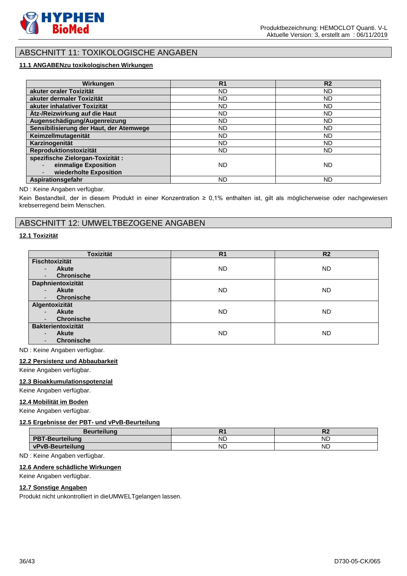

# ABSCHNITT 11: TOXIKOLOGISCHE ANGABEN

### **11.1 ANGABENzu toxikologischen Wirkungen**

| Wirkungen                               | R <sub>1</sub> | R <sub>2</sub> |
|-----------------------------------------|----------------|----------------|
| akuter oraler Toxizität                 | ND.            | <b>ND</b>      |
| akuter dermaler Toxizität               | ND.            | <b>ND</b>      |
| akuter inhalativer Toxizität            | ND.            | <b>ND</b>      |
| Ätz-/Reizwirkung auf die Haut           | ND.            | <b>ND</b>      |
| Augenschädigung/Augenreizung            | ND.            | <b>ND</b>      |
| Sensibilisierung der Haut, der Atemwege | ND.            | <b>ND</b>      |
| Keimzellmutagenität                     | ND.            | <b>ND</b>      |
| Karzinogenität                          | ND.            | <b>ND</b>      |
| Reproduktionstoxizität                  | ND.            | <b>ND</b>      |
| spezifische Zielorgan-Toxizität:        |                |                |
| einmalige Exposition                    | ND.            | ND             |
| wiederholte Exposition                  |                |                |
| Aspirationsgefahr                       | ND             | <b>ND</b>      |

#### ND : Keine Angaben verfügbar.

Kein Bestandteil, der in diesem Produkt in einer Konzentration ≥ 0,1% enthalten ist, gilt als möglicherweise oder nachgewiesen krebserregend beim Menschen.

### ABSCHNITT 12: UMWELTBEZOGENE ANGABEN

#### **12.1 Toxizität**

| <b>Toxizität</b>                         | R <sub>1</sub> | R <sub>2</sub> |
|------------------------------------------|----------------|----------------|
| <b>Fischtoxizität</b>                    |                |                |
| <b>Akute</b><br>$\blacksquare$           | <b>ND</b>      | <b>ND</b>      |
| <b>Chronische</b>                        |                |                |
| Daphnientoxizität                        |                |                |
| <b>Akute</b><br>$\overline{\phantom{0}}$ | ND.            | <b>ND</b>      |
| <b>Chronische</b>                        |                |                |
| Algentoxizität                           |                |                |
| <b>Akute</b><br>$\overline{\phantom{a}}$ | ND.            | <b>ND</b>      |
| <b>Chronische</b>                        |                |                |
| <b>Bakterientoxizität</b>                |                |                |
| <b>Akute</b><br>٠                        | ND.            | <b>ND</b>      |
| <b>Chronische</b>                        |                |                |

ND : Keine Angaben verfügbar.

#### **12.2 Persistenz und Abbaubarkeit**

Keine Angaben verfügbar.

#### **12.3 Bioakkumulationspotenzial**

Keine Angaben verfügbar.

#### **12.4 Mobilität im Boden**

Keine Angaben verfügbar.

#### **12.5 Ergebnisse der PBT- und vPvB-Beurteilung**

| <b>Beurteilung</b>     |           | . .       |
|------------------------|-----------|-----------|
| <b>PBT-Beurteilung</b> | <b>ND</b> | <b>ND</b> |
| vPvB-Beurteilung       | <b>ND</b> | <b>ND</b> |

ND : Keine Angaben verfügbar.

#### **12.6 Andere schädliche Wirkungen**

#### Keine Angaben verfügbar.

#### **12.7 Sonstige Angaben**

Produkt nicht unkontrolliert in dieUMWELTgelangen lassen.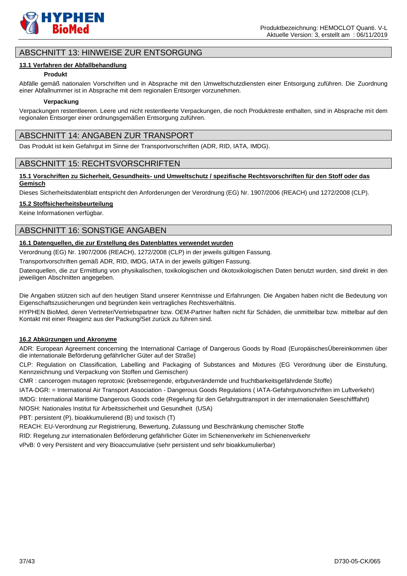

### ABSCHNITT 13: HINWEISE ZUR ENTSORGUNG

#### **13.1 Verfahren der Abfallbehandlung**

#### **Produkt**

Abfälle gemäß nationalen Vorschriften und in Absprache mit den Umweltschutzdiensten einer Entsorgung zuführen. Die Zuordnung einer Abfallnummer ist in Absprache mit dem regionalen Entsorger vorzunehmen.

#### **Verpackung**

Verpackungen restentleeren. Leere und nicht restentleerte Verpackungen, die noch Produktreste enthalten, sind in Absprache mit dem regionalen Entsorger einer ordnungsgemäßen Entsorgung zuführen.

### ABSCHNITT 14: ANGABEN ZUR TRANSPORT

Das Produkt ist kein Gefahrgut im Sinne der Transportvorschriften (ADR, RID, IATA, IMDG).

### ABSCHNITT 15: RECHTSVORSCHRIFTEN

#### **15.1 Vorschriften zu Sicherheit, Gesundheits- und Umweltschutz / spezifische Rechtsvorschriften für den Stoff oder das Gemisch**

Dieses Sicherheitsdatenblatt entspricht den Anforderungen der Verordnung (EG) Nr. 1907/2006 (REACH) und 1272/2008 (CLP).

#### **15.2 Stoffsicherheitsbeurteilung**

Keine Informationen verfügbar.

### ABSCHNITT 16: SONSTIGE ANGABEN

### **16.1 Datenquellen, die zur Erstellung des Datenblattes verwendet wurden**

Verordnung (EG) Nr. 1907/2006 (REACH), 1272/2008 (CLP) in der jeweils gültigen Fassung.

Transportvorschriften gemäß ADR, RID, IMDG, IATA in der jeweils gültigen Fassung.

Datenquellen, die zur Ermittlung von physikalischen, toxikologischen und ökotoxikologischen Daten benutzt wurden, sind direkt in den jeweiligen Abschnitten angegeben.

Die Angaben stützen sich auf den heutigen Stand unserer Kenntnisse und Erfahrungen. Die Angaben haben nicht die Bedeutung von Eigenschaftszusicherungen und begründen kein vertragliches Rechtsverhältnis.

HYPHEN BioMed, deren Vertreter/Vertriebspartner bzw. OEM-Partner haften nicht für Schäden, die unmittelbar bzw. mittelbar auf den Kontakt mit einer Reagenz aus der Packung/Set zurück zu führen sind.

#### **16.2 Abkürzungen und Akronyme**

ADR: European Agreement concerning the International Carriage of Dangerous Goods by Road (EuropäischesÜbereinkommen über die internationale Beförderung gefährlicher Güter auf der Straße)

CLP: Regulation on Classification, Labelling and Packaging of Substances and Mixtures (EG Verordnung über die Einstufung, Kennzeichnung und Verpackung von Stoffen und Gemischen)

CMR : cancerogen mutagen reprotoxic (krebserregende, erbgutverändernde und fruchtbarkeitsgefährdende Stoffe)

IATA-DGR: = International Air Transport Association - Dangerous Goods Regulations ( IATA-Gefahrgutvorschriften im Luftverkehr)

IMDG: International Maritime Dangerous Goods code (Regelung für den Gefahrguttransport in der internationalen Seeschifffahrt)

NIOSH: Nationales Institut für Arbeitssicherheit und Gesundheit (USA)

PBT: persistent (P), bioakkumulierend (B) und toxisch (T)

REACH: EU-Verordnung zur Registrierung, Bewertung, Zulassung und Beschränkung chemischer Stoffe

RID: Regelung zur internationalen Beförderung gefährlicher Güter im Schienenverkehr im Schienenverkehr

vPvB: 0 very Persistent and very Bioaccumulative (sehr persistent und sehr bioakkumulierbar)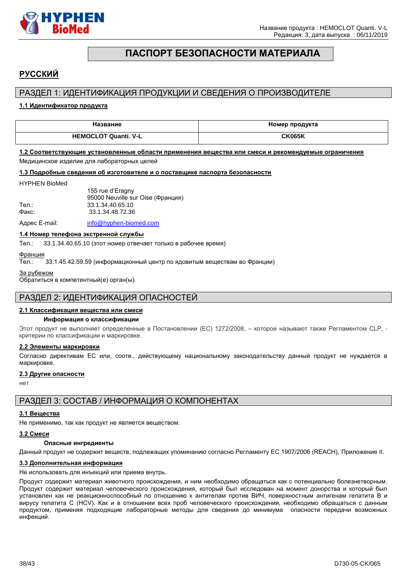

# **ПАСПОРТ БЕЗОПАСНОСТИ МАТЕРИАЛА**

# <span id="page-37-0"></span>**РУССКИЙ**

### РАЗДЕЛ 1: ИДЕНТИФИКАЦИЯ ПРОДУКЦИИ И СВЕДЕНИЯ О ПРОИЗВОДИТЕЛЕ

#### **1.1 Идентификатор продукта**

| Название                    | Номер продукта |
|-----------------------------|----------------|
| <b>HEMOCLOT Quanti, V-L</b> | <b>CK065K</b>  |

### **1.2 Соответствующие установленные области применения вещества или смеси и рекомендуемые ограничения**

Медицинское изделие для лабораторных целей

#### **1.3 Подробные сведения об изготовителе и о поставщике паспорта безопасности**

#### HYPHEN BioMed

|       | 155 rue d'Eragny                  |
|-------|-----------------------------------|
|       | 95000 Neuville sur Oise (Франция) |
| Тел.: | 33.1.34.40.65.10                  |
| Факс: | 33.1.34.48.72.36                  |
|       |                                   |

Адрес E-mail: [info@hyphen-biomed.com](mailto:info@hyphen-biomed.com)

#### **1.4 Номер телефона экстренной службы**

Тел.: 33.1.34.40.65.10 (этот номер отвечает только в рабочее время)

Франция

Тел.: 33.1.45.42.59.59 (информационный центр по ядовитым веществам во Франции)

За рубежом

Обратиться в компетентный(е) орган(ы).

### РАЗДЕЛ 2: ИДЕНТИФИКАЦИЯ ОПАСНОСТЕЙ

#### **2.1 Классификация вещества или смеси**

#### **Информация о классификации**

Этот продукт не выполняет определенные в Постановлении (EС) 1272/2008, – которое называют также Регламентом CLP, критерии по классификации и маркировке.

#### **2.2 Элементы маркировки**

Согласно директивам ЕС или, соотв., действующему национальному законодательству данный продукт не нуждается в маркировке.

#### **2.3 Другие опасности**

нет

### РАЗДЕЛ 3: СОСТАВ / ИНФОРМАЦИЯ О КОМПОНЕНТАХ

#### **3.1 Вещества**

Не применимо, так как продукт не является веществом.

#### **3.2 Смеси**

#### **Опасные ингредиенты**

Данный продукт не содержит веществ, подлежащих упоминанию согласно Регламенту ЕС 1907/2006 (REACH), Приложение II.

#### **3.3 Дополнительная информация**

Не использовать для инъекций или приема внутрь.

Продукт содержит материал животного происхождения, и ним необходимо обращаться как с потенциально болезнетворным. Продукт содержит материал человеческого происхождения, который был исследован на момент донорства и который был установлен как не реакционноспособный по отношению к антителам против ВИЧ, поверхностным антигенам гепатита B и вирусу гепатита C (HCV). Как и в отношении всех проб человеческого происхождения, необходимо обращаться с данным продуктом, применяя подходящие лабораторные методы для сведения до минимума опасности передачи возможных инфекций.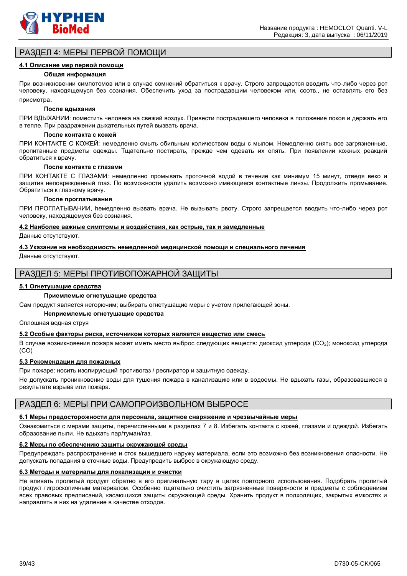

### РАЗДЕЛ 4: МЕРЫ ПЕРВОЙ ПОМОЩИ

#### **4.1 Описание мер первой помощи**

#### **Общая информация**

При возникновении cимпотомов или в случае сомнений обратиться к врачу. Строго запрещается вводить что-либо через рот человеку, находящемуся без сознания. Обеспечить уход за пострадавшим человеком или, соотв., не оставлять его без присмотра.

#### **После вдыхания**

ПРИ ВДЫХАНИИ: поместить человека на свежий воздух. Привести пострадавшего человека в положение покоя и держать его в тепле. При раздражении дыхательных путей вызвать врача.

#### **После контакта с кожей**

ПРИ КОНТАКТЕ С КОЖЕЙ: немедленно смыть обильным количеством воды с мылом. Немедленно снять все загрязненные, пропитанные предметы одежды. Тщательно постирать, прежде чем одевать их опять. При появлении кожных реакций обратиться к врачу.

#### **После контакта с глазами**

ПРИ КОНТАКТЕ С ГЛАЗАМИ: немедленно промывать проточной водой в течение как минимум 15 минут, отведя веко и защитив неповрежденный глаз. По возможности удалить возможно имеющиеся контактные линзы. Продолжить промывание. Обратиться к глазному врачу.

#### **После проглатывания**

ПРИ ПРОГЛАТЫВАНИИ, hемедленно вызвать врача. Не вызывать рвоту. Строго запрещается вводить что-либо через рот человеку, находящемуся без сознания.

#### **4.2 Наиболее важные симптомы и воздействия, как острые, так и замедленные**

Данные отсутствуют.

#### **4.3 Указание на необходимость немедленной медицинской помощи и специального лечения**

Данные отсутствуют.

### РАЗДЕЛ 5: МЕРЫ ПРОТИВОПОЖАРНОЙ ЗАЩИТЫ

#### **5.1 Огнетушащие средства**

#### **Приемлемые огнетушащие средства**

Сам продукт является негорючим; выбирать огнетушащие меры с учетом прилегающей зоны.

#### **Неприемлемые огнетушащие средства**

Сплошная водная струя

#### **5.2 Особые факторы риска, источником которых является вещество или смесь**

В случае возникновения пожара может иметь место выброс следующих веществ: диоксид углерода (CO2); моноксид углерода (CO)

#### **5.3 Рекомендации для пожарных**

При пожаре: носить изолирующий противогаз / респиратор и защитную одежду.

Не допускать проникновение воды для тушения пожара в канализацию или в водоемы. Не вдыхать газы, образовавшиеся в результате взрыва или пожара.

### РАЗДЕЛ 6: МЕРЫ ПРИ САМОПРОИЗВОЛЬНОМ ВЫБРОСЕ

#### **6.1 Меры предосторожности для персонала, защитное снаряжение и чрезвычайные меры**

Ознакомиться с мерами защиты, перечисленными в разделах 7 и 8. Избегать контакта с кожей, глазами и одеждой. Избегать образование пыли. Не вдыхать пар/туман/газ.

#### **6.2 Меры по обеспечению защиты окружающей среды**

Предупреждать распространение и сток вышедшего наружу материала, если это возможно без возникновения опасности. Не допускать попадания в сточные воды. Предупредить выброс в окружающую среду.

#### **6.3 Методы и материалы для локализации и очистки**

Не вливать пролитый продукт обратно в его оригинальную тару в целях повторного использования. Подобрать пролитый продукт гигроскопичным материалом. Особенно тщательно очистить загрязненные поверхности и предметы с соблюдением всех правовых предписаний, касающихся защиты окружающей среды. Хранить продукт в подходящих, закрытых емкостях и направлять в них на удаление в качестве отходов.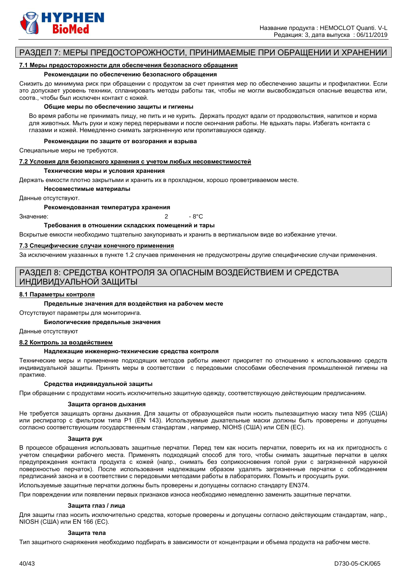

### РАЗДЕЛ 7: МЕРЫ ПРЕДОСТОРОЖНОСТИ, ПРИНИМАЕМЫЕ ПРИ ОБРАЩЕНИИ И ХРАНЕНИИ

#### **7.1 Меры предосторожности для обеспечения безопасного обращения**

#### **Рекомендации по обеспечению безопасного обращения**

Снизить до минимума риск при обращении с продуктом за счет принятия мер по обеспечению защиты и профилактики. Если это допускает уровень техники, спланировать методы работы так, чтобы не могли высвобождаться опасные вещества или, соотв., чтобы был исключен контакт с кожей.

#### **Общие меры по обеспечению защиты и гигиены**

Во время работы не принимать пищу, не пить и не курить. Держать продукт вдали от продовольствия, напитков и корма для животных. Мыть руки и кожу перед перерывами и после окончания работы. Не вдыхать пары. Избегать контакта с глазами и кожей. Немедленно снимать загрязненную или пропитавшуюся одежду.

#### **Рекомендации по защите от возгорания и взрыва**

Специальные меры не требуются.

#### **7.2 Условия для безопасного хранения с учетом любых несовместимостей**

#### **Технические меры и условия хранения**

Держать емкости плотно закрытыми и хранить их в прохладном, хорошо проветриваемом месте.

**Несовместимые материалы**

Данные отсутствуют.

#### **Рекомендованная температура хранения**

 $3$ начение:  $\overline{2}$  - 8°C

**Требования в отношении складских помещений и тары**

Вскрытые емкости необходимо тщательно закупоривать и хранить в вертикальном виде во избежание утечки.

#### **7.3 Специфические случаи конечного применения**

За исключением указанных в пункте 1.2 случаев применения не предусмотрены другие специфические случаи применения.

### РАЗДЕЛ 8: СРЕДСТВА КОНТРОЛЯ ЗА ОПАСНЫМ ВОЗДЕЙСТВИЕМ И СРЕДСТВА ИНДИВИДУАЛЬНОЙ ЗАЩИТЫ

#### **8.1 Параметры контроля**

#### **Предельные значения для воздействия на рабочем месте**

Отсутствуют параметры для мониторинга.

**Биологические предельные значения**

#### Данные отсутствуют

#### **8.2 Контроль за воздействием**

#### **Надлежащие инженерно-технические средства контроля**

Технические меры и применение подходящих методов работы имеют приоритет по отношению к использованию средств индивидуальной защиты. Принять меры в соответствии с передовыми способами обеспечения промышленной гигиены на практике.

#### **Средства индивидуальной защиты**

При обращении с продуктами носить исключительно защитную одежду, соответствующую действующим предписаниям.

#### **Защита органов дыхания**

Не требуется защищать органы дыхания. Для защиты от образующейся пыли носить пылезащитную маску типа N95 (США) или респиратор с фильтром типа P1 (EN 143). Используемые дыхательные маски должны быть проверены и допущены согласно соответствующим государственным стандартам , например, NIOHS (США) или CEN (EС).

#### **Защита рук**

В процессе обращения использовать защитные перчатки. Перед тем как носить перчатки, поверить их на их пригодность с учетом специфики рабочего места. Применять подходящий способ для того, чтобы снимать защитные перчатки в целях предупреждения контакта продукта с кожей (напр., снимать без соприкосновения голой руки с загрязненной наружной поверхностью перчаток). После использования надлежащим образом удалять загрязненные перчатки с соблюдением предписаний закона и в соответствии с передовыми методами работы в лабораториях. Помыть и просущить руки.

Используемые защитные перчатки должны быть проверены и допущены согласно стандарту EN374.

При повреждении или появлении первых признаков износа необходимо немедленно заменить защитные перчатки.

#### **Защита глаз / лица**

Для защиты глаз носить исключительно средства, которые проверены и допущены согласно действующим стандартам, напр., NIOSH (США) или EN 166 (EС).

#### **Защита тела**

Тип защитного снаряжения необходимо подбирать в зависимости от концентрации и объема продукта на рабочем месте.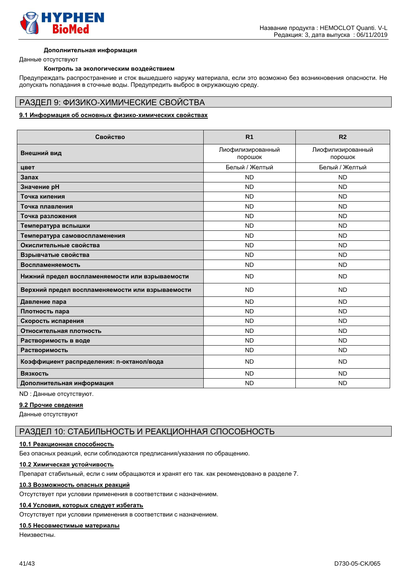

#### **Дополнительная информация**

Данные отсутствуют

#### **Контроль за экологическим воздействием**

Предупреждать распространение и сток вышедшего наружу материала, если это возможно без возникновения опасности. Не допускать попадания в сточные воды. Предупредить выброс в окружающую среду.

#### РАЗДЕЛ 9: ФИЗИКО-ХИМИЧЕСКИЕ СВОЙСТВА

#### **9.1 Информация об основных физико-химических свойствах**

| Свойство                                         | R <sub>1</sub>               | R <sub>2</sub>               |
|--------------------------------------------------|------------------------------|------------------------------|
| Внешний вид                                      | Лиофилизированный<br>порошок | Лиофилизированный<br>порошок |
| цвет                                             | Белый / Желтый               | Белый / Желтый               |
| Запах                                            | <b>ND</b>                    | <b>ND</b>                    |
| Значение рН                                      | <b>ND</b>                    | <b>ND</b>                    |
| Точка кипения                                    | <b>ND</b>                    | <b>ND</b>                    |
| Точка плавления                                  | <b>ND</b>                    | <b>ND</b>                    |
| Точка разложения                                 | <b>ND</b>                    | <b>ND</b>                    |
| Температура вспышки                              | <b>ND</b>                    | <b>ND</b>                    |
| Температура самовоспламенения                    | <b>ND</b>                    | <b>ND</b>                    |
| Окислительные свойства                           | <b>ND</b>                    | <b>ND</b>                    |
| Взрывчатые свойства                              | <b>ND</b>                    | <b>ND</b>                    |
| Воспламеняемость                                 | <b>ND</b>                    | <b>ND</b>                    |
| Нижний предел воспламеняемости или взрываемости  | <b>ND</b>                    | <b>ND</b>                    |
| Верхний предел воспламеняемости или взрываемости | <b>ND</b>                    | <b>ND</b>                    |
| Давление пара                                    | <b>ND</b>                    | <b>ND</b>                    |
| Плотность пара                                   | <b>ND</b>                    | <b>ND</b>                    |
| Скорость испарения                               | <b>ND</b>                    | <b>ND</b>                    |
| Относительная плотность                          | <b>ND</b>                    | <b>ND</b>                    |
| Растворимость в воде                             | <b>ND</b>                    | <b>ND</b>                    |
| Растворимость                                    | <b>ND</b>                    | <b>ND</b>                    |
| Коэффициент распределения: n-октанол/вода        | <b>ND</b>                    | <b>ND</b>                    |
| Вязкость                                         | <b>ND</b>                    | <b>ND</b>                    |
| Дополнительная информация                        | <b>ND</b>                    | <b>ND</b>                    |

### ND : Данные отсутствуют.

**9.2 Прочие сведения**

Данные отсутствуют

### РАЗДЕЛ 10: СТАБИЛЬНОСТЬ И РЕАКЦИОННАЯ СПОСОБНОСТЬ

#### **10.1 Реакционная способность**

Без опасных реакций, если соблюдаются предписания/указания по обращению.

#### **10.2 Химическая устойчивость**

Препарат стабильный, если с ним обращаются и хранят его так. как рекомендовано в разделе 7.

#### **10.3 Возможность опасных реакций**

Отсутствует при условии применения в соответствии с назначением.

#### **10.4 Условия, которых следует избегать**

Отсутствует при условии применения в соответствии с назначением.

#### **10.5 Несовместимые материалы**

Неизвестны.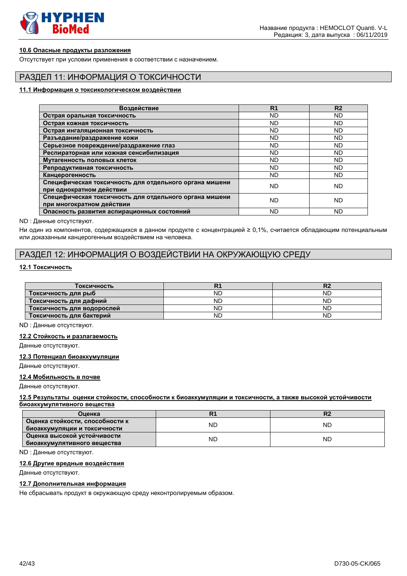

#### **10.6 Опасные продукты разложения**

Отсутствует при условии применения в соответствии с назначением.

### РАЗДЕЛ 11: ИНФОРМАЦИЯ О ТОКСИЧНОСТИ

#### **11.1 Информация о токсикологическом воздействии**

| Воздействие                                                                         | R <sub>1</sub> | R <sub>2</sub> |
|-------------------------------------------------------------------------------------|----------------|----------------|
| Острая оральная токсичность                                                         | <b>ND</b>      | <b>ND</b>      |
| Острая кожная токсичность                                                           | <b>ND</b>      | ND             |
| Острая ингаляционная токсичность                                                    | ND             | ND             |
| Разъедание/раздражение кожи                                                         | <b>ND</b>      | ND             |
| Серьезное повреждение/раздражение глаз                                              | <b>ND</b>      | <b>ND</b>      |
| Респираторная или кожная сенсибилизация                                             | <b>ND</b>      | <b>ND</b>      |
| Мутагенность половых клеток                                                         | <b>ND</b>      | <b>ND</b>      |
| Репродуктивная токсичность                                                          | <b>ND</b>      | <b>ND</b>      |
| Канцерогенность                                                                     | <b>ND</b>      | ND             |
| Специфическая токсичность для отдельного органа мишени<br>при однократном действии  | ND             | ND             |
| Специфическая токсичность для отдельного органа мишени<br>при многократном действии | ND             | ND             |
| Опасность развития аспирационных состояний                                          | ND             | ND             |

ND : Данные отсутствуют.

Ни один из компонентов, содержащихся в данном продукте с концентрацией ≥ 0,1%, считается обладающим потенциальным или доказанным канцерогенным воздействием на человека.

### РАЗДЕЛ 12: ИНФОРМАЦИЯ О ВОЗДЕЙСТВИИ НА ОКРУЖАЮЩУЮ СРЕДУ

#### **12.1 Токсичность**

| Токсичность                |           |    |
|----------------------------|-----------|----|
| _Токсичность для рыб       | ΝD        | NĽ |
| Токсичность для дафний     | ΝD        | NΓ |
| Токсичность для водорослей | ΝD        | NĽ |
| Токсичность для бактерий   | <b>ND</b> | ΝD |

ND : Данные отсутствуют.

#### **12.2 Стойкость и разлагаемость**

Данные отсутствуют.

**12.3 Потенциал биоаккумуляции**

Данные отсутствуют.

#### **12.4 Мобильность в почве**

Данные отсутствуют.

#### **12.5 Результаты оценки стойкости, способности к биоаккумуляции и токсичности, а также высокой устойчивости биоаккумулятивного вещества**

| Оценка                          |    | ы  |  |
|---------------------------------|----|----|--|
| Оценка стойкости, способности к | ND | ND |  |
| биоаккумуляции и токсичности    |    |    |  |
| Оценка высокой устойчивости     | ND | ND |  |
| биоаккумулятивного вещества     |    |    |  |

ND : Данные отсутствуют.

#### **12.6 Другие вредные воздействия**

Данные отсутствуют.

#### **12.7 Дополнительная информация**

Не сбрасывать продукт в окружающую среду неконтролируемым образом.